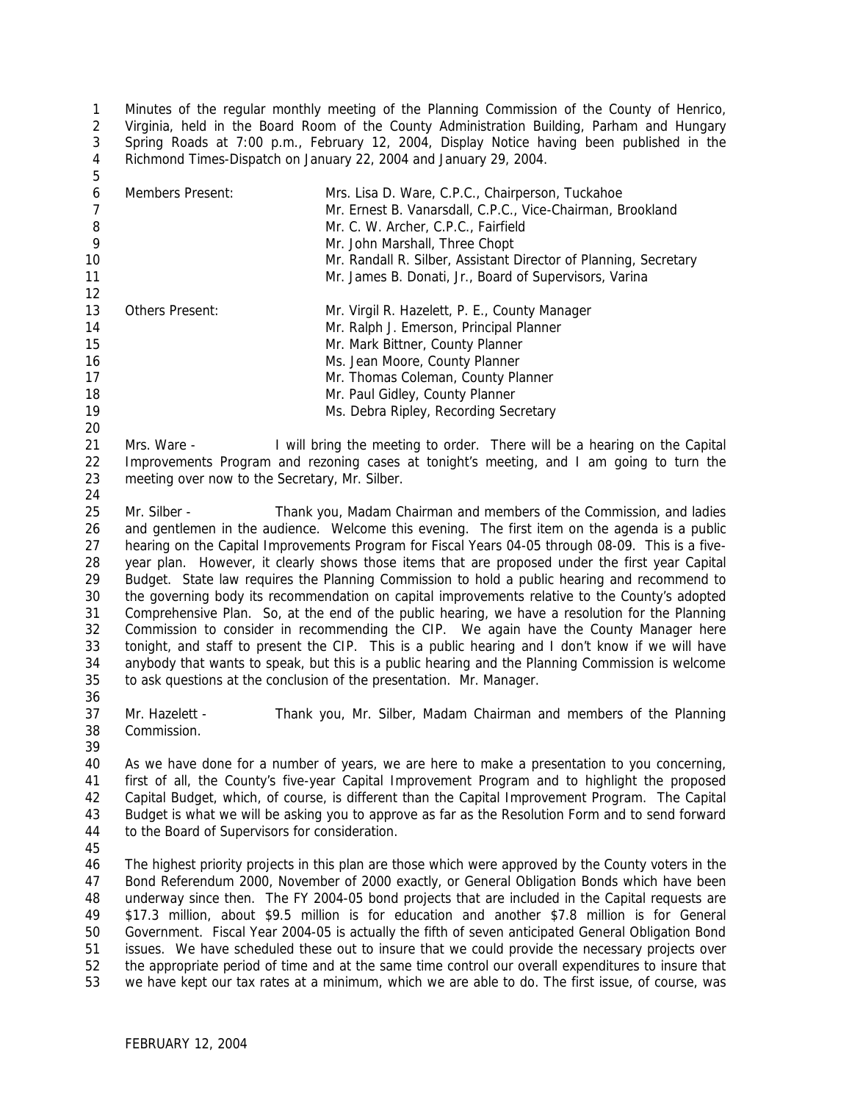Minutes of the regular monthly meeting of the Planning Commission of the County of Henrico, Virginia, held in the Board Room of the County Administration Building, Parham and Hungary Spring Roads at 7:00 p.m., February 12, 2004, Display Notice having been published in the Richmond Times-Dispatch on January 22, 2004 and January 29, 2004. 

| 6              | Members Present:                                                                                  | Mrs. Lisa D. Ware, C.P.C., Chairperson, Tuckahoe                                                     |  |  |  |
|----------------|---------------------------------------------------------------------------------------------------|------------------------------------------------------------------------------------------------------|--|--|--|
| $\overline{7}$ |                                                                                                   | Mr. Ernest B. Vanarsdall, C.P.C., Vice-Chairman, Brookland                                           |  |  |  |
| $\, 8$         |                                                                                                   | Mr. C. W. Archer, C.P.C., Fairfield                                                                  |  |  |  |
| 9              |                                                                                                   | Mr. John Marshall, Three Chopt                                                                       |  |  |  |
| 10             |                                                                                                   | Mr. Randall R. Silber, Assistant Director of Planning, Secretary                                     |  |  |  |
| 11             |                                                                                                   | Mr. James B. Donati, Jr., Board of Supervisors, Varina                                               |  |  |  |
| 12             |                                                                                                   |                                                                                                      |  |  |  |
| 13             | Others Present:                                                                                   | Mr. Virgil R. Hazelett, P. E., County Manager                                                        |  |  |  |
| 14             |                                                                                                   | Mr. Ralph J. Emerson, Principal Planner                                                              |  |  |  |
| 15             |                                                                                                   | Mr. Mark Bittner, County Planner                                                                     |  |  |  |
| 16             |                                                                                                   | Ms. Jean Moore, County Planner                                                                       |  |  |  |
| 17             |                                                                                                   | Mr. Thomas Coleman, County Planner                                                                   |  |  |  |
|                |                                                                                                   |                                                                                                      |  |  |  |
| 18             |                                                                                                   | Mr. Paul Gidley, County Planner                                                                      |  |  |  |
| 19             |                                                                                                   | Ms. Debra Ripley, Recording Secretary                                                                |  |  |  |
| 20             |                                                                                                   |                                                                                                      |  |  |  |
| 21             | Mrs. Ware -                                                                                       | I will bring the meeting to order. There will be a hearing on the Capital                            |  |  |  |
| 22             |                                                                                                   | Improvements Program and rezoning cases at tonight's meeting, and I am going to turn the             |  |  |  |
| 23             | meeting over now to the Secretary, Mr. Silber.                                                    |                                                                                                      |  |  |  |
| 24             |                                                                                                   |                                                                                                      |  |  |  |
| 25             | Mr. Silber -                                                                                      | Thank you, Madam Chairman and members of the Commission, and ladies                                  |  |  |  |
| 26             | and gentlemen in the audience. Welcome this evening. The first item on the agenda is a public     |                                                                                                      |  |  |  |
| 27             |                                                                                                   | hearing on the Capital Improvements Program for Fiscal Years 04-05 through 08-09. This is a five-    |  |  |  |
| 28             | year plan. However, it clearly shows those items that are proposed under the first year Capital   |                                                                                                      |  |  |  |
| 29             |                                                                                                   | Budget. State law requires the Planning Commission to hold a public hearing and recommend to         |  |  |  |
| 30             | the governing body its recommendation on capital improvements relative to the County's adopted    |                                                                                                      |  |  |  |
| 31             | Comprehensive Plan. So, at the end of the public hearing, we have a resolution for the Planning   |                                                                                                      |  |  |  |
| 32             |                                                                                                   | Commission to consider in recommending the CIP. We again have the County Manager here                |  |  |  |
| 33             |                                                                                                   | tonight, and staff to present the CIP. This is a public hearing and I don't know if we will have     |  |  |  |
| 34             |                                                                                                   | anybody that wants to speak, but this is a public hearing and the Planning Commission is welcome     |  |  |  |
| 35             |                                                                                                   | to ask questions at the conclusion of the presentation. Mr. Manager.                                 |  |  |  |
| 36             |                                                                                                   |                                                                                                      |  |  |  |
| 37             | Mr. Hazelett -                                                                                    | Thank you, Mr. Silber, Madam Chairman and members of the Planning                                    |  |  |  |
| 38             | Commission.                                                                                       |                                                                                                      |  |  |  |
|                |                                                                                                   |                                                                                                      |  |  |  |
| 39             |                                                                                                   |                                                                                                      |  |  |  |
| 40             |                                                                                                   | As we have done for a number of years, we are here to make a presentation to you concerning,         |  |  |  |
| 41             |                                                                                                   | first of all, the County's five-year Capital Improvement Program and to highlight the proposed       |  |  |  |
| 42             | Capital Budget, which, of course, is different than the Capital Improvement Program. The Capital  |                                                                                                      |  |  |  |
| 43             | Budget is what we will be asking you to approve as far as the Resolution Form and to send forward |                                                                                                      |  |  |  |
| 44             | to the Board of Supervisors for consideration.                                                    |                                                                                                      |  |  |  |
| 45             |                                                                                                   |                                                                                                      |  |  |  |
| 46             |                                                                                                   | The highest priority projects in this plan are those which were approved by the County voters in the |  |  |  |
| 47             |                                                                                                   | Bond Referendum 2000, November of 2000 exactly, or General Obligation Bonds which have been          |  |  |  |
| 48             | underway since then. The FY 2004-05 bond projects that are included in the Capital requests are   |                                                                                                      |  |  |  |
| 49             |                                                                                                   | \$17.3 million, about \$9.5 million is for education and another \$7.8 million is for General        |  |  |  |
| 50             |                                                                                                   | Government. Fiscal Year 2004-05 is actually the fifth of seven anticipated General Obligation Bond   |  |  |  |
| 51             |                                                                                                   | issues. We have scheduled these out to insure that we could provide the necessary projects over      |  |  |  |
| 52             |                                                                                                   | the appropriate period of time and at the same time control our overall expenditures to insure that  |  |  |  |
| 53             |                                                                                                   | we have kept our tax rates at a minimum, which we are able to do. The first issue, of course, was    |  |  |  |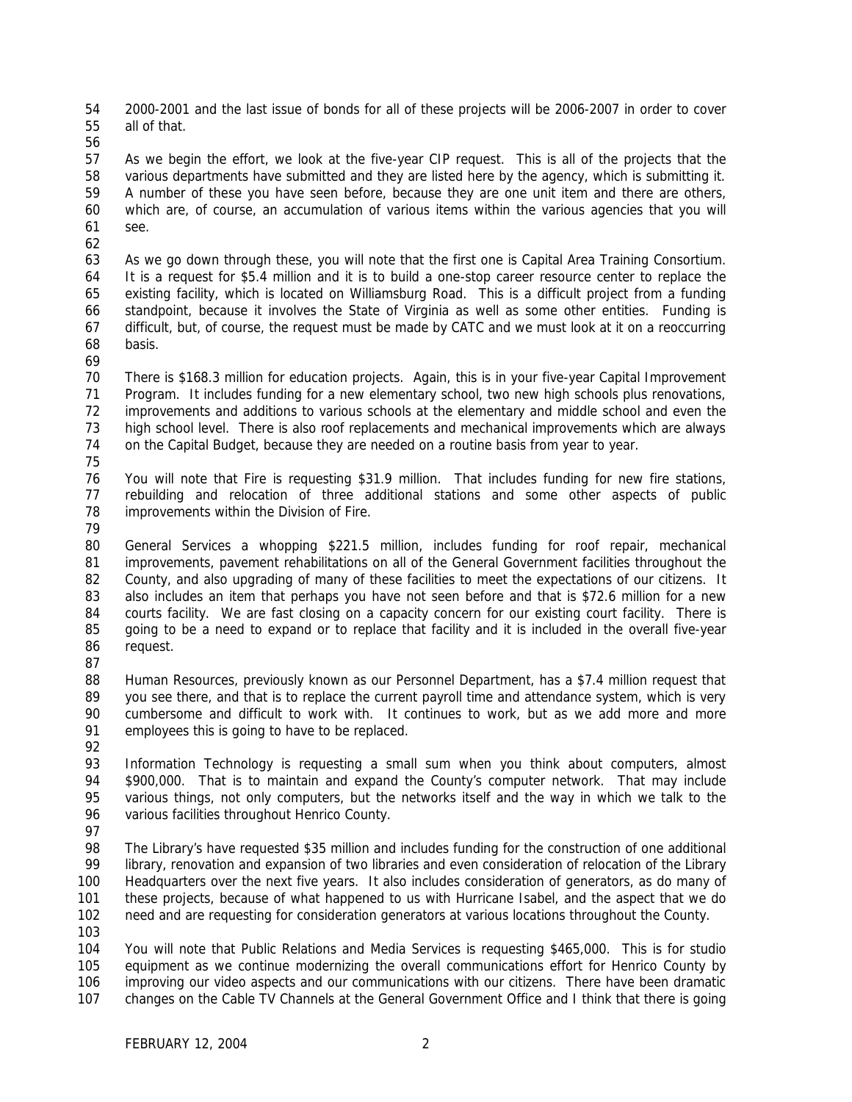2000-2001 and the last issue of bonds for all of these projects will be 2006-2007 in order to cover all of that.

 As we begin the effort, we look at the five-year CIP request. This is all of the projects that the various departments have submitted and they are listed here by the agency, which is submitting it. A number of these you have seen before, because they are one unit item and there are others, which are, of course, an accumulation of various items within the various agencies that you will see.

 As we go down through these, you will note that the first one is Capital Area Training Consortium. It is a request for \$5.4 million and it is to build a one-stop career resource center to replace the existing facility, which is located on Williamsburg Road. This is a difficult project from a funding standpoint, because it involves the State of Virginia as well as some other entities. Funding is difficult, but, of course, the request must be made by CATC and we must look at it on a reoccurring basis.

 There is \$168.3 million for education projects. Again, this is in your five-year Capital Improvement Program. It includes funding for a new elementary school, two new high schools plus renovations, improvements and additions to various schools at the elementary and middle school and even the high school level. There is also roof replacements and mechanical improvements which are always on the Capital Budget, because they are needed on a routine basis from year to year.

 You will note that Fire is requesting \$31.9 million. That includes funding for new fire stations, rebuilding and relocation of three additional stations and some other aspects of public improvements within the Division of Fire.

 General Services a whopping \$221.5 million, includes funding for roof repair, mechanical improvements, pavement rehabilitations on all of the General Government facilities throughout the County, and also upgrading of many of these facilities to meet the expectations of our citizens. It 83 also includes an item that perhaps you have not seen before and that is \$72.6 million for a new courts facility. We are fast closing on a capacity concern for our existing court facility. There is going to be a need to expand or to replace that facility and it is included in the overall five-year request.

 Human Resources, previously known as our Personnel Department, has a \$7.4 million request that you see there, and that is to replace the current payroll time and attendance system, which is very cumbersome and difficult to work with. It continues to work, but as we add more and more employees this is going to have to be replaced.

 Information Technology is requesting a small sum when you think about computers, almost \$900,000. That is to maintain and expand the County's computer network. That may include various things, not only computers, but the networks itself and the way in which we talk to the 96 various facilities throughout Henrico County.

 The Library's have requested \$35 million and includes funding for the construction of one additional 99 library, renovation and expansion of two libraries and even consideration of relocation of the Library Headquarters over the next five years. It also includes consideration of generators, as do many of these projects, because of what happened to us with Hurricane Isabel, and the aspect that we do need and are requesting for consideration generators at various locations throughout the County.

 You will note that Public Relations and Media Services is requesting \$465,000. This is for studio equipment as we continue modernizing the overall communications effort for Henrico County by improving our video aspects and our communications with our citizens. There have been dramatic changes on the Cable TV Channels at the General Government Office and I think that there is going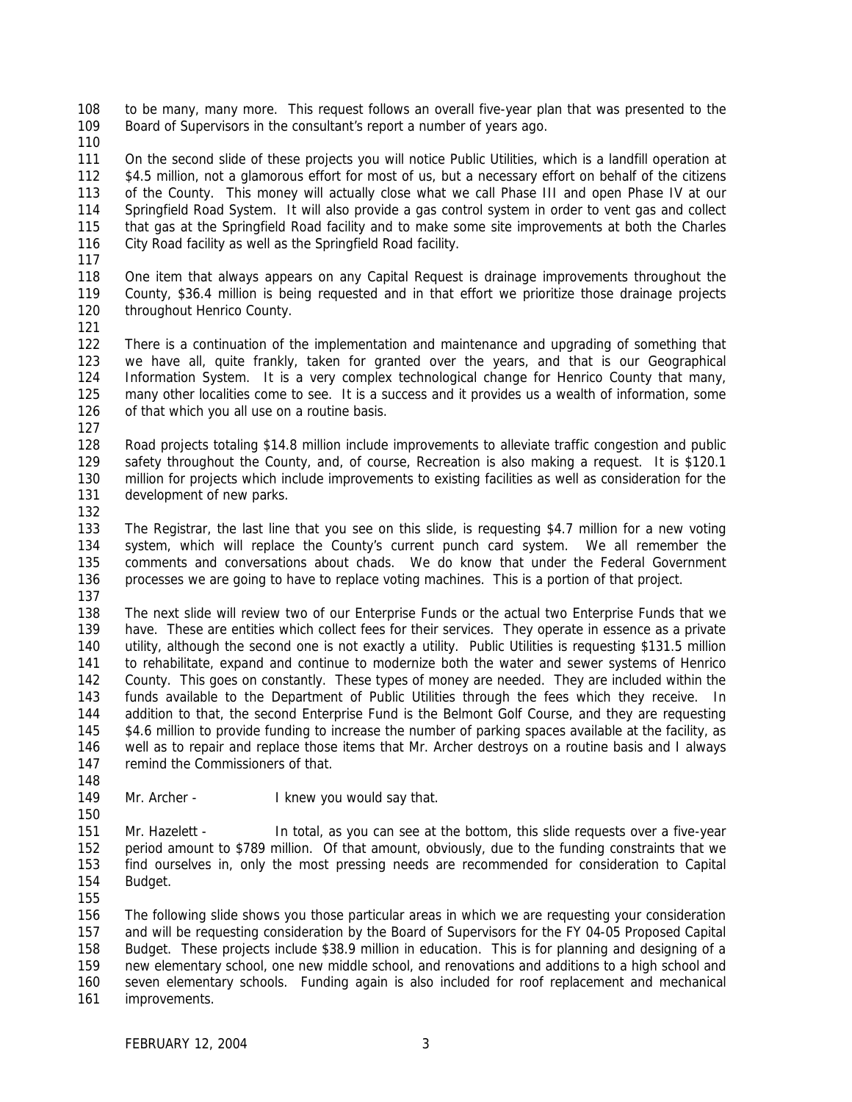to be many, many more. This request follows an overall five-year plan that was presented to the Board of Supervisors in the consultant's report a number of years ago.

 On the second slide of these projects you will notice Public Utilities, which is a landfill operation at \$4.5 million, not a glamorous effort for most of us, but a necessary effort on behalf of the citizens of the County. This money will actually close what we call Phase III and open Phase IV at our Springfield Road System. It will also provide a gas control system in order to vent gas and collect that gas at the Springfield Road facility and to make some site improvements at both the Charles City Road facility as well as the Springfield Road facility.

 One item that always appears on any Capital Request is drainage improvements throughout the County, \$36.4 million is being requested and in that effort we prioritize those drainage projects 120 throughout Henrico County.

 There is a continuation of the implementation and maintenance and upgrading of something that we have all, quite frankly, taken for granted over the years, and that is our Geographical Information System. It is a very complex technological change for Henrico County that many, many other localities come to see. It is a success and it provides us a wealth of information, some 126 of that which you all use on a routine basis. 

 Road projects totaling \$14.8 million include improvements to alleviate traffic congestion and public safety throughout the County, and, of course, Recreation is also making a request. It is \$120.1 million for projects which include improvements to existing facilities as well as consideration for the development of new parks.

 The Registrar, the last line that you see on this slide, is requesting \$4.7 million for a new voting system, which will replace the County's current punch card system. We all remember the comments and conversations about chads. We do know that under the Federal Government processes we are going to have to replace voting machines. This is a portion of that project.

 The next slide will review two of our Enterprise Funds or the actual two Enterprise Funds that we have. These are entities which collect fees for their services. They operate in essence as a private utility, although the second one is not exactly a utility. Public Utilities is requesting \$131.5 million to rehabilitate, expand and continue to modernize both the water and sewer systems of Henrico County. This goes on constantly. These types of money are needed. They are included within the funds available to the Department of Public Utilities through the fees which they receive. In addition to that, the second Enterprise Fund is the Belmont Golf Course, and they are requesting 145 \$4.6 million to provide funding to increase the number of parking spaces available at the facility, as well as to repair and replace those items that Mr. Archer destroys on a routine basis and I always 147 remind the Commissioners of that. 

149 Mr. Archer - I knew you would say that.

 Mr. Hazelett - In total, as you can see at the bottom, this slide requests over a five-year period amount to \$789 million. Of that amount, obviously, due to the funding constraints that we find ourselves in, only the most pressing needs are recommended for consideration to Capital Budget.

 The following slide shows you those particular areas in which we are requesting your consideration and will be requesting consideration by the Board of Supervisors for the FY 04-05 Proposed Capital Budget. These projects include \$38.9 million in education. This is for planning and designing of a new elementary school, one new middle school, and renovations and additions to a high school and seven elementary schools. Funding again is also included for roof replacement and mechanical improvements.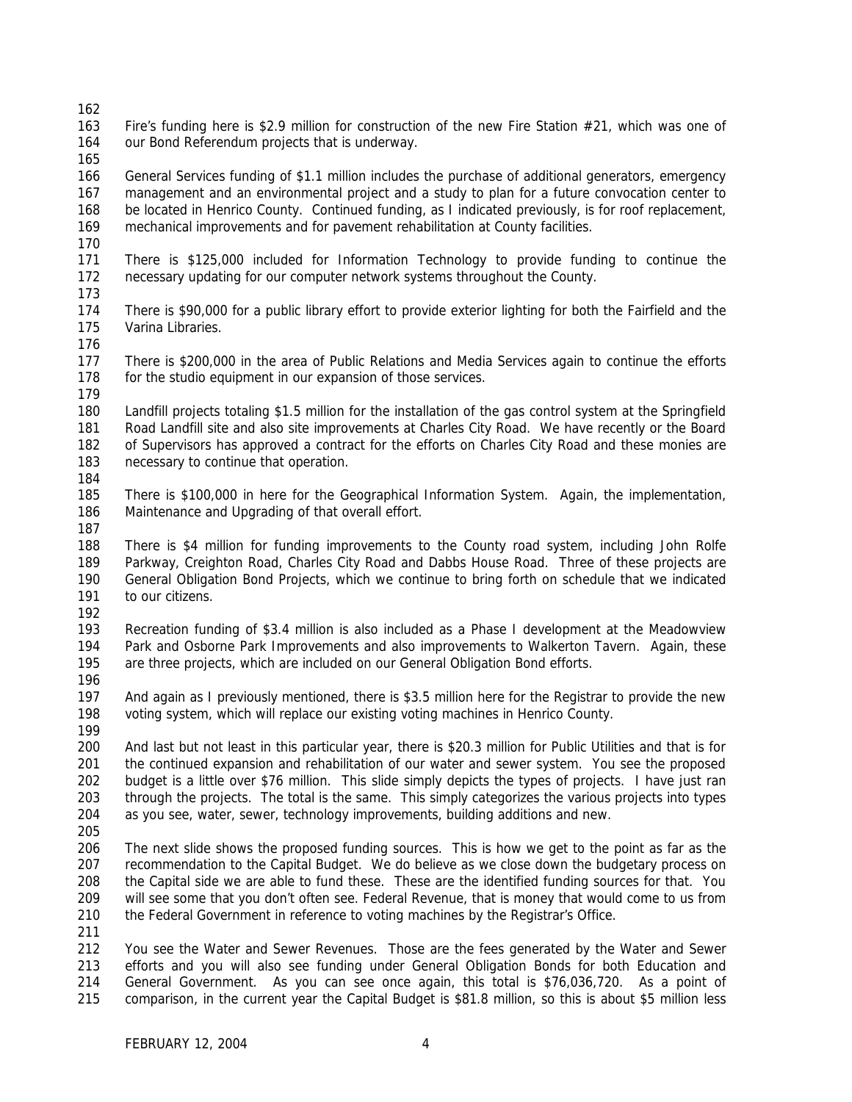Fire's funding here is \$2.9 million for construction of the new Fire Station #21, which was one of our Bond Referendum projects that is underway.

 General Services funding of \$1.1 million includes the purchase of additional generators, emergency management and an environmental project and a study to plan for a future convocation center to be located in Henrico County. Continued funding, as I indicated previously, is for roof replacement, mechanical improvements and for pavement rehabilitation at County facilities.

 There is \$125,000 included for Information Technology to provide funding to continue the necessary updating for our computer network systems throughout the County. 

 There is \$90,000 for a public library effort to provide exterior lighting for both the Fairfield and the Varina Libraries.

 There is \$200,000 in the area of Public Relations and Media Services again to continue the efforts 178 for the studio equipment in our expansion of those services.

 Landfill projects totaling \$1.5 million for the installation of the gas control system at the Springfield Road Landfill site and also site improvements at Charles City Road. We have recently or the Board of Supervisors has approved a contract for the efforts on Charles City Road and these monies are necessary to continue that operation.

 There is \$100,000 in here for the Geographical Information System. Again, the implementation, Maintenance and Upgrading of that overall effort.

 There is \$4 million for funding improvements to the County road system, including John Rolfe Parkway, Creighton Road, Charles City Road and Dabbs House Road. Three of these projects are General Obligation Bond Projects, which we continue to bring forth on schedule that we indicated 191 to our citizens.

 Recreation funding of \$3.4 million is also included as a Phase I development at the Meadowview Park and Osborne Park Improvements and also improvements to Walkerton Tavern. Again, these are three projects, which are included on our General Obligation Bond efforts.

 And again as I previously mentioned, there is \$3.5 million here for the Registrar to provide the new voting system, which will replace our existing voting machines in Henrico County. 

 And last but not least in this particular year, there is \$20.3 million for Public Utilities and that is for the continued expansion and rehabilitation of our water and sewer system. You see the proposed budget is a little over \$76 million. This slide simply depicts the types of projects. I have just ran through the projects. The total is the same. This simply categorizes the various projects into types as you see, water, sewer, technology improvements, building additions and new.

 The next slide shows the proposed funding sources. This is how we get to the point as far as the recommendation to the Capital Budget. We do believe as we close down the budgetary process on the Capital side we are able to fund these. These are the identified funding sources for that. You will see some that you don't often see. Federal Revenue, that is money that would come to us from the Federal Government in reference to voting machines by the Registrar's Office.

 You see the Water and Sewer Revenues. Those are the fees generated by the Water and Sewer efforts and you will also see funding under General Obligation Bonds for both Education and General Government. As you can see once again, this total is \$76,036,720. As a point of comparison, in the current year the Capital Budget is \$81.8 million, so this is about \$5 million less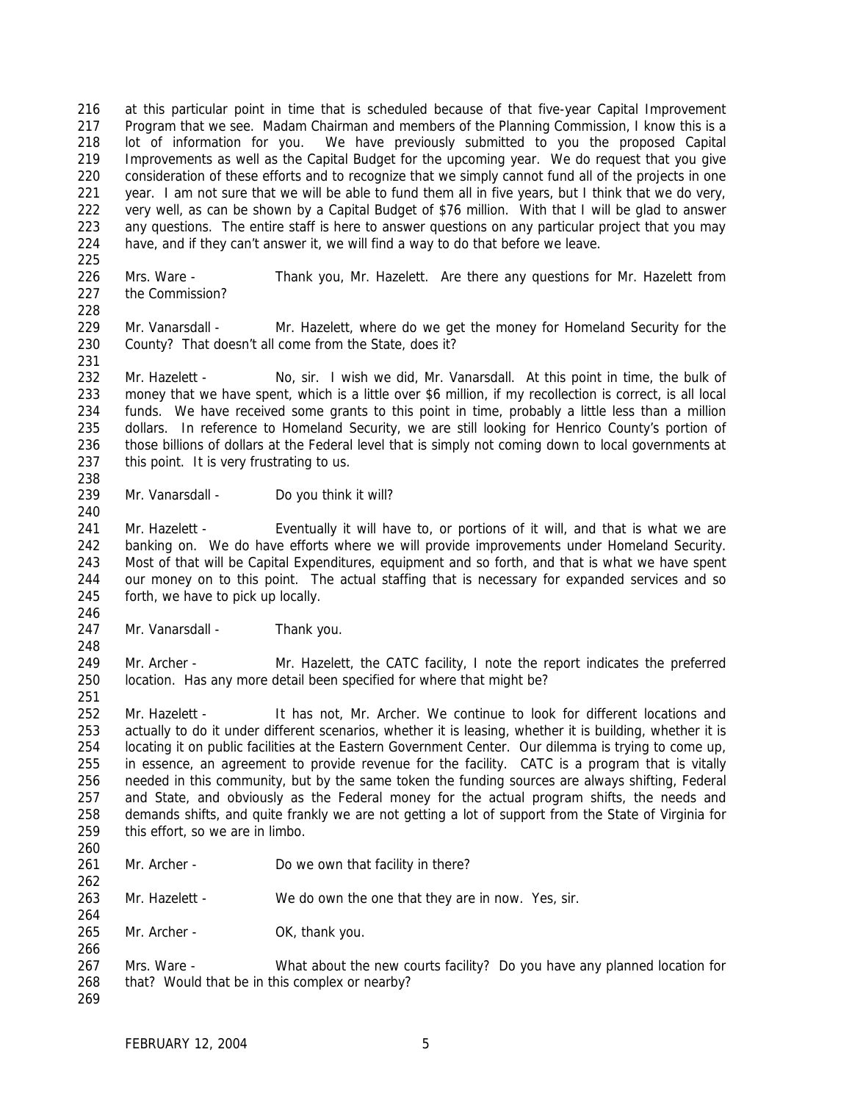at this particular point in time that is scheduled because of that five-year Capital Improvement Program that we see. Madam Chairman and members of the Planning Commission, I know this is a lot of information for you. We have previously submitted to you the proposed Capital Improvements as well as the Capital Budget for the upcoming year. We do request that you give consideration of these efforts and to recognize that we simply cannot fund all of the projects in one year. I am not sure that we will be able to fund them all in five years, but I think that we do very, very well, as can be shown by a Capital Budget of \$76 million. With that I will be glad to answer any questions. The entire staff is here to answer questions on any particular project that you may have, and if they can't answer it, we will find a way to do that before we leave.

- Mrs. Ware Thank you, Mr. Hazelett. Are there any questions for Mr. Hazelett from the Commission?
- 229 Mr. Vanarsdall Mr. Hazelett, where do we get the money for Homeland Security for the County? That doesn't all come from the State, does it?
- 

 Mr. Hazelett - No, sir. I wish we did, Mr. Vanarsdall. At this point in time, the bulk of money that we have spent, which is a little over \$6 million, if my recollection is correct, is all local funds. We have received some grants to this point in time, probably a little less than a million 235 dollars. In reference to Homeland Security, we are still looking for Henrico County's portion of those billions of dollars at the Federal level that is simply not coming down to local governments at 237 this point. It is very frustrating to us. 

Mr. Vanarsdall - Do you think it will?

241 Mr. Hazelett - Eventually it will have to, or portions of it will, and that is what we are banking on. We do have efforts where we will provide improvements under Homeland Security. Most of that will be Capital Expenditures, equipment and so forth, and that is what we have spent our money on to this point. The actual staffing that is necessary for expanded services and so forth, we have to pick up locally.

- 247 Mr. Vanarsdall Thank you.
- 249 Mr. Archer Mr. Hazelett, the CATC facility, I note the report indicates the preferred location. Has any more detail been specified for where that might be?

 Mr. Hazelett - It has not, Mr. Archer. We continue to look for different locations and actually to do it under different scenarios, whether it is leasing, whether it is building, whether it is locating it on public facilities at the Eastern Government Center. Our dilemma is trying to come up, in essence, an agreement to provide revenue for the facility. CATC is a program that is vitally needed in this community, but by the same token the funding sources are always shifting, Federal and State, and obviously as the Federal money for the actual program shifts, the needs and demands shifts, and quite frankly we are not getting a lot of support from the State of Virginia for this effort, so we are in limbo.

261 Mr. Archer - Do we own that facility in there?

Mr. Hazelett - We do own the one that they are in now. Yes, sir.

265 Mr. Archer - OK, thank you.

 Mrs. Ware - What about the new courts facility? Do you have any planned location for that? Would that be in this complex or nearby?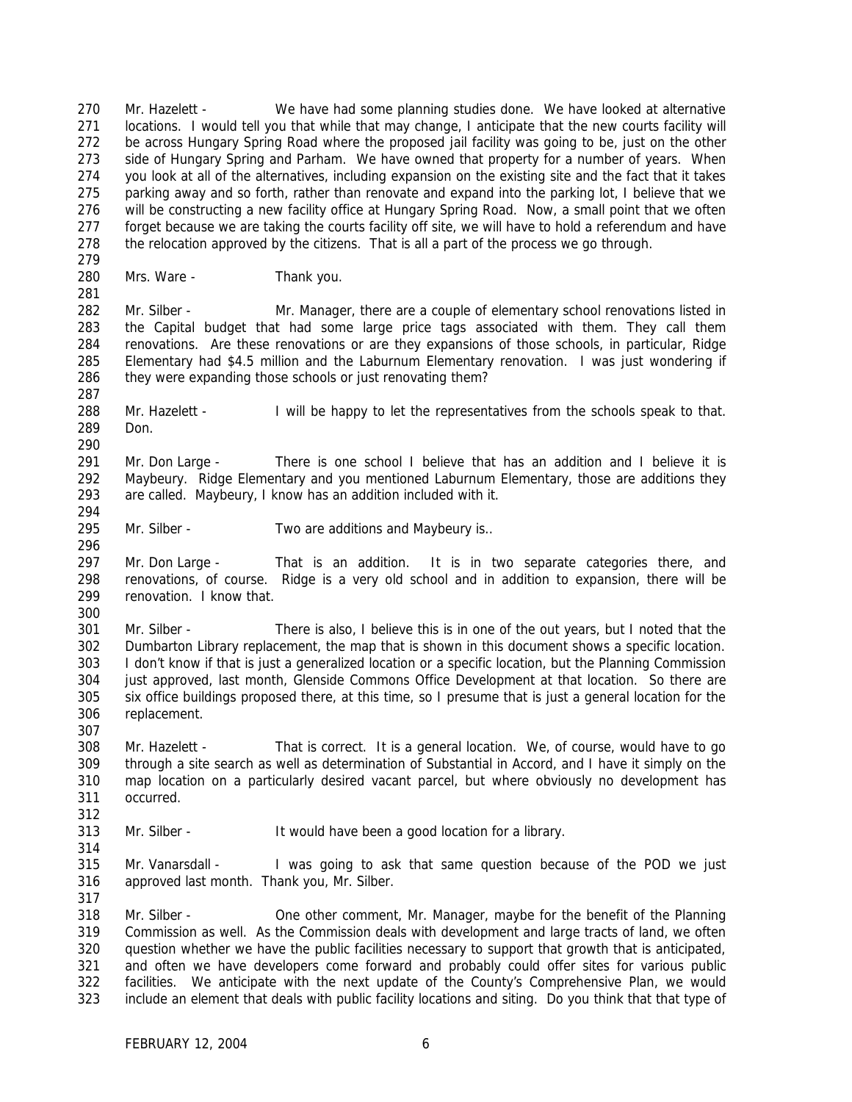Mr. Hazelett - We have had some planning studies done. We have looked at alternative locations. I would tell you that while that may change, I anticipate that the new courts facility will be across Hungary Spring Road where the proposed jail facility was going to be, just on the other side of Hungary Spring and Parham. We have owned that property for a number of years. When you look at all of the alternatives, including expansion on the existing site and the fact that it takes parking away and so forth, rather than renovate and expand into the parking lot, I believe that we will be constructing a new facility office at Hungary Spring Road. Now, a small point that we often forget because we are taking the courts facility off site, we will have to hold a referendum and have 278 the relocation approved by the citizens. That is all a part of the process we go through. 

Mrs. Ware - Thank you.

282 Mr. Silber - Mr. Manager, there are a couple of elementary school renovations listed in the Capital budget that had some large price tags associated with them. They call them renovations. Are these renovations or are they expansions of those schools, in particular, Ridge Elementary had \$4.5 million and the Laburnum Elementary renovation. I was just wondering if 286 they were expanding those schools or just renovating them?

 Mr. Hazelett - I will be happy to let the representatives from the schools speak to that. Don.

 Mr. Don Large - There is one school I believe that has an addition and I believe it is Maybeury. Ridge Elementary and you mentioned Laburnum Elementary, those are additions they are called. Maybeury, I know has an addition included with it. 

Mr. Silber - Two are additions and Maybeury is..

 Mr. Don Large - That is an addition. It is in two separate categories there, and renovations, of course. Ridge is a very old school and in addition to expansion, there will be renovation. I know that.

 Mr. Silber - There is also, I believe this is in one of the out years, but I noted that the Dumbarton Library replacement, the map that is shown in this document shows a specific location. I don't know if that is just a generalized location or a specific location, but the Planning Commission just approved, last month, Glenside Commons Office Development at that location. So there are six office buildings proposed there, at this time, so I presume that is just a general location for the replacement.

 Mr. Hazelett - That is correct. It is a general location. We, of course, would have to go through a site search as well as determination of Substantial in Accord, and I have it simply on the map location on a particularly desired vacant parcel, but where obviously no development has occurred. 

Mr. Silber - It would have been a good location for a library.

 Mr. Vanarsdall - I was going to ask that same question because of the POD we just approved last month. Thank you, Mr. Silber.

 Mr. Silber - One other comment, Mr. Manager, maybe for the benefit of the Planning Commission as well. As the Commission deals with development and large tracts of land, we often question whether we have the public facilities necessary to support that growth that is anticipated, and often we have developers come forward and probably could offer sites for various public facilities. We anticipate with the next update of the County's Comprehensive Plan, we would include an element that deals with public facility locations and siting. Do you think that that type of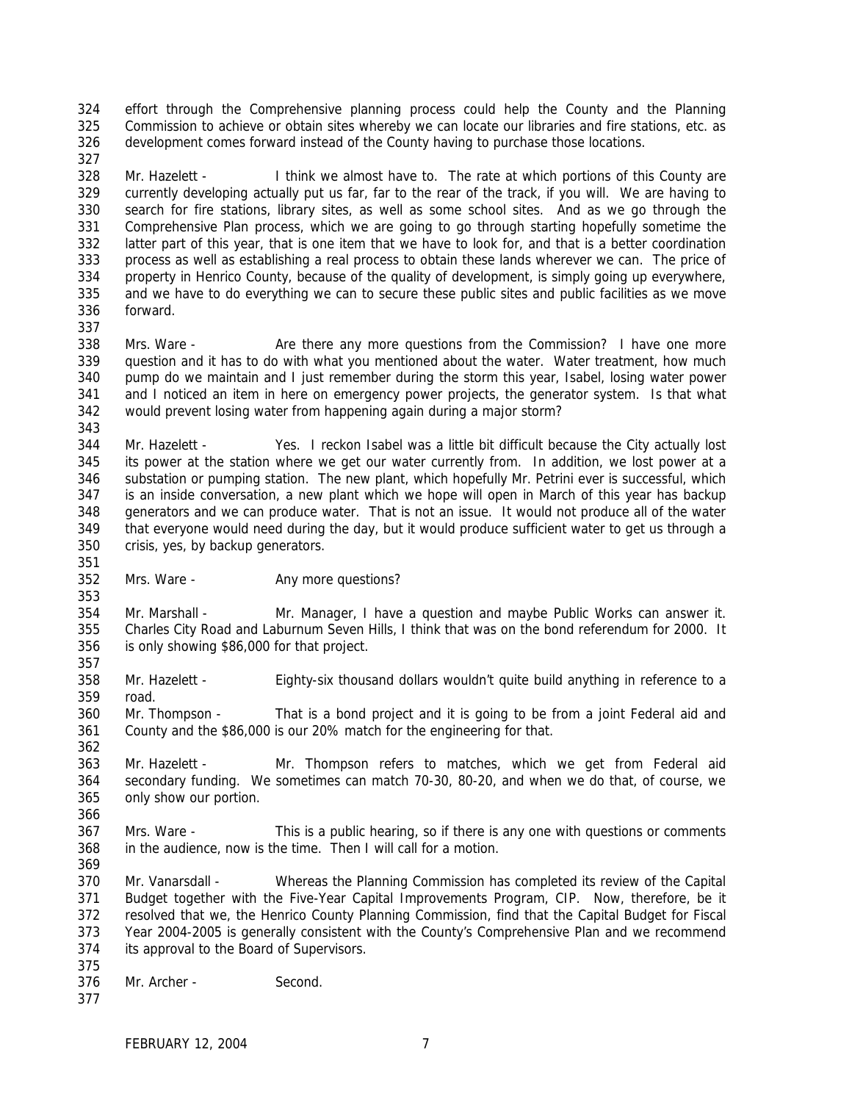effort through the Comprehensive planning process could help the County and the Planning Commission to achieve or obtain sites whereby we can locate our libraries and fire stations, etc. as development comes forward instead of the County having to purchase those locations.

 Mr. Hazelett - I think we almost have to. The rate at which portions of this County are currently developing actually put us far, far to the rear of the track, if you will. We are having to search for fire stations, library sites, as well as some school sites. And as we go through the Comprehensive Plan process, which we are going to go through starting hopefully sometime the latter part of this year, that is one item that we have to look for, and that is a better coordination process as well as establishing a real process to obtain these lands wherever we can. The price of property in Henrico County, because of the quality of development, is simply going up everywhere, and we have to do everything we can to secure these public sites and public facilities as we move forward.

 Mrs. Ware - Are there any more questions from the Commission? I have one more question and it has to do with what you mentioned about the water. Water treatment, how much pump do we maintain and I just remember during the storm this year, Isabel, losing water power and I noticed an item in here on emergency power projects, the generator system. Is that what would prevent losing water from happening again during a major storm?

 Mr. Hazelett - Yes. I reckon Isabel was a little bit difficult because the City actually lost its power at the station where we get our water currently from. In addition, we lost power at a substation or pumping station. The new plant, which hopefully Mr. Petrini ever is successful, which is an inside conversation, a new plant which we hope will open in March of this year has backup generators and we can produce water. That is not an issue. It would not produce all of the water that everyone would need during the day, but it would produce sufficient water to get us through a crisis, yes, by backup generators.

Mrs. Ware - Any more questions?

 Mr. Marshall - Mr. Manager, I have a question and maybe Public Works can answer it. Charles City Road and Laburnum Seven Hills, I think that was on the bond referendum for 2000. It is only showing \$86,000 for that project. 

 Mr. Hazelett - Eighty-six thousand dollars wouldn't quite build anything in reference to a road.

 Mr. Thompson - That is a bond project and it is going to be from a joint Federal aid and County and the \$86,000 is our 20% match for the engineering for that.

 Mr. Hazelett - Mr. Thompson refers to matches, which we get from Federal aid secondary funding. We sometimes can match 70-30, 80-20, and when we do that, of course, we only show our portion.

 Mrs. Ware - This is a public hearing, so if there is any one with questions or comments in the audience, now is the time. Then I will call for a motion. 

 Mr. Vanarsdall - Whereas the Planning Commission has completed its review of the Capital Budget together with the Five-Year Capital Improvements Program, CIP. Now, therefore, be it resolved that we, the Henrico County Planning Commission, find that the Capital Budget for Fiscal Year 2004-2005 is generally consistent with the County's Comprehensive Plan and we recommend its approval to the Board of Supervisors.

- Mr. Archer Second.
-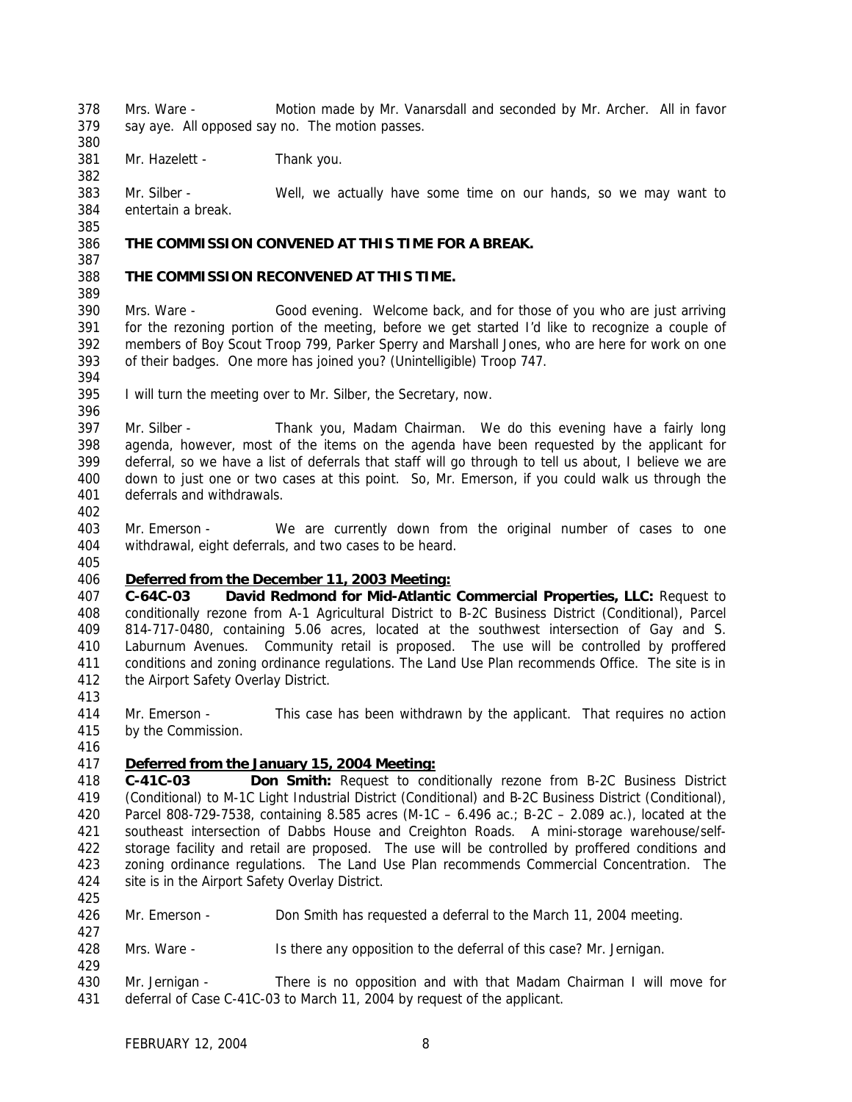Mrs. Ware - Motion made by Mr. Vanarsdall and seconded by Mr. Archer. All in favor say aye. All opposed say no. The motion passes.

381 Mr. Hazelett - Thank you.

 Mr. Silber - Well, we actually have some time on our hands, so we may want to entertain a break.

### **THE COMMISSION CONVENED AT THIS TIME FOR A BREAK.**

### **THE COMMISSION RECONVENED AT THIS TIME.**

 Mrs. Ware - Good evening. Welcome back, and for those of you who are just arriving for the rezoning portion of the meeting, before we get started I'd like to recognize a couple of members of Boy Scout Troop 799, Parker Sperry and Marshall Jones, who are here for work on one of their badges. One more has joined you? (Unintelligible) Troop 747.

I will turn the meeting over to Mr. Silber, the Secretary, now.

 Mr. Silber - Thank you, Madam Chairman. We do this evening have a fairly long agenda, however, most of the items on the agenda have been requested by the applicant for deferral, so we have a list of deferrals that staff will go through to tell us about, I believe we are down to just one or two cases at this point. So, Mr. Emerson, if you could walk us through the deferrals and withdrawals.

- 
- Mr. Emerson We are currently down from the original number of cases to one withdrawal, eight deferrals, and two cases to be heard.
- 

# *Deferred from the December 11, 2003 Meeting:*

 **C-64C-03 David Redmond for Mid-Atlantic Commercial Properties, LLC:** Request to conditionally rezone from A-1 Agricultural District to B-2C Business District (Conditional), Parcel 814-717-0480, containing 5.06 acres, located at the southwest intersection of Gay and S. Laburnum Avenues. Community retail is proposed. The use will be controlled by proffered conditions and zoning ordinance regulations. The Land Use Plan recommends Office. The site is in the Airport Safety Overlay District.

- 
- Mr. Emerson This case has been withdrawn by the applicant. That requires no action by the Commission.
- 

# *Deferred from the January 15, 2004 Meeting:*

 **C-41C-03 Don Smith:** Request to conditionally rezone from B-2C Business District (Conditional) to M-1C Light Industrial District (Conditional) and B-2C Business District (Conditional), Parcel 808-729-7538, containing 8.585 acres (M-1C – 6.496 ac.; B-2C – 2.089 ac.), located at the southeast intersection of Dabbs House and Creighton Roads. A mini-storage warehouse/self- storage facility and retail are proposed. The use will be controlled by proffered conditions and zoning ordinance regulations. The Land Use Plan recommends Commercial Concentration. The site is in the Airport Safety Overlay District.

Mr. Emerson - Don Smith has requested a deferral to the March 11, 2004 meeting.

- 428 Mrs. Ware Is there any opposition to the deferral of this case? Mr. Jernigan.
- 
- Mr. Jernigan There is no opposition and with that Madam Chairman I will move for deferral of Case C-41C-03 to March 11, 2004 by request of the applicant.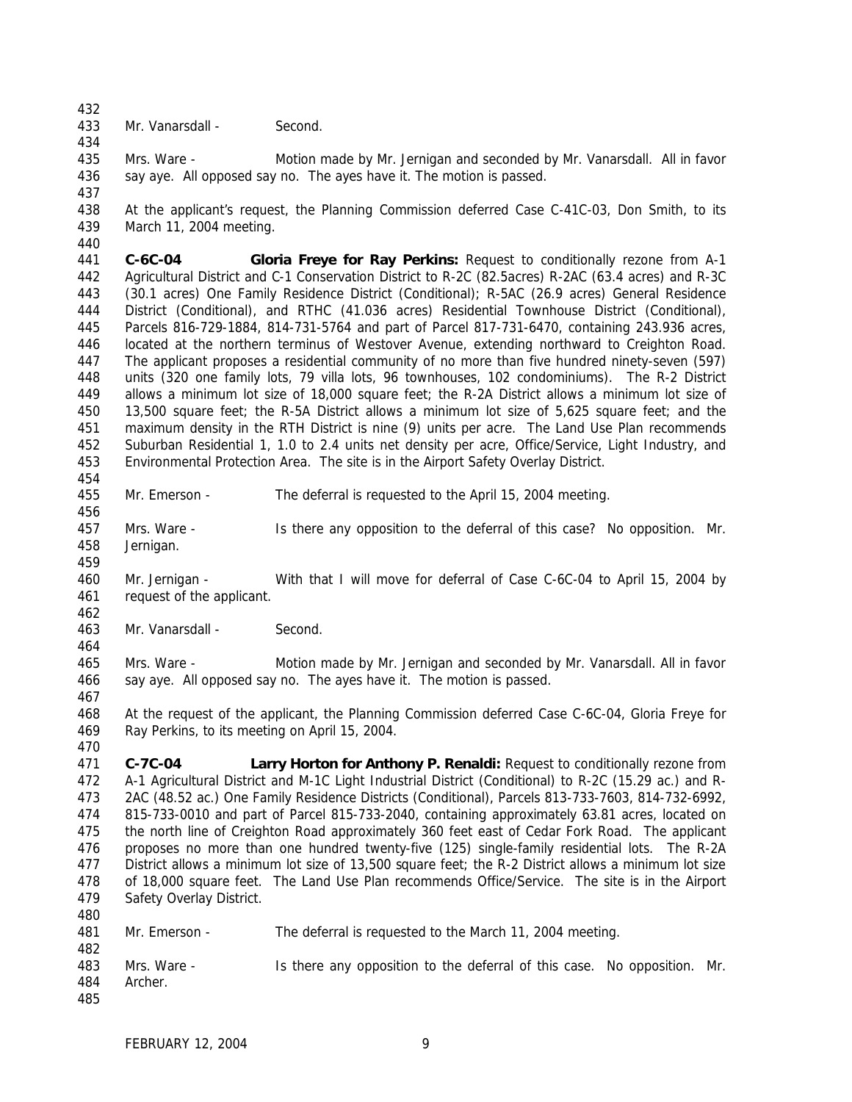- 
- Mr. Vanarsdall Second.
- 

 Mrs. Ware - Motion made by Mr. Jernigan and seconded by Mr. Vanarsdall. All in favor 436 say aye. All opposed say no. The ayes have it. The motion is passed.

- At the applicant's request, the Planning Commission deferred Case C-41C-03, Don Smith, to its March 11, 2004 meeting.
- 

 **C-6C-04 Gloria Freye for Ray Perkins:** Request to conditionally rezone from A-1 Agricultural District and C-1 Conservation District to R-2C (82.5acres) R-2AC (63.4 acres) and R-3C (30.1 acres) One Family Residence District (Conditional); R-5AC (26.9 acres) General Residence District (Conditional), and RTHC (41.036 acres) Residential Townhouse District (Conditional), Parcels 816-729-1884, 814-731-5764 and part of Parcel 817-731-6470, containing 243.936 acres, located at the northern terminus of Westover Avenue, extending northward to Creighton Road. The applicant proposes a residential community of no more than five hundred ninety-seven (597) units (320 one family lots, 79 villa lots, 96 townhouses, 102 condominiums). The R-2 District allows a minimum lot size of 18,000 square feet; the R-2A District allows a minimum lot size of 13,500 square feet; the R-5A District allows a minimum lot size of 5,625 square feet; and the maximum density in the RTH District is nine (9) units per acre. The Land Use Plan recommends Suburban Residential 1, 1.0 to 2.4 units net density per acre, Office/Service, Light Industry, and Environmental Protection Area. The site is in the Airport Safety Overlay District.

- Mr. Emerson The deferral is requested to the April 15, 2004 meeting.
- Mrs. Ware Is there any opposition to the deferral of this case? No opposition. Mr. Jernigan.
- Mr. Jernigan With that I will move for deferral of Case C-6C-04 to April 15, 2004 by request of the applicant.
- Mr. Vanarsdall Second.

 Mrs. Ware - Motion made by Mr. Jernigan and seconded by Mr. Vanarsdall. All in favor say aye. All opposed say no. The ayes have it. The motion is passed.

 At the request of the applicant, the Planning Commission deferred Case C-6C-04, Gloria Freye for Ray Perkins, to its meeting on April 15, 2004.

- **C-7C-04 Larry Horton for Anthony P. Renaldi:** Request to conditionally rezone from A-1 Agricultural District and M-1C Light Industrial District (Conditional) to R-2C (15.29 ac.) and R- 2AC (48.52 ac.) One Family Residence Districts (Conditional), Parcels 813-733-7603, 814-732-6992, 815-733-0010 and part of Parcel 815-733-2040, containing approximately 63.81 acres, located on the north line of Creighton Road approximately 360 feet east of Cedar Fork Road. The applicant proposes no more than one hundred twenty-five (125) single-family residential lots. The R-2A District allows a minimum lot size of 13,500 square feet; the R-2 District allows a minimum lot size of 18,000 square feet. The Land Use Plan recommends Office/Service. The site is in the Airport Safety Overlay District.
- Mr. Emerson - The deferral is requested to the March 11, 2004 meeting. Mrs. Ware - Is there any opposition to the deferral of this case. No opposition. Mr. Archer.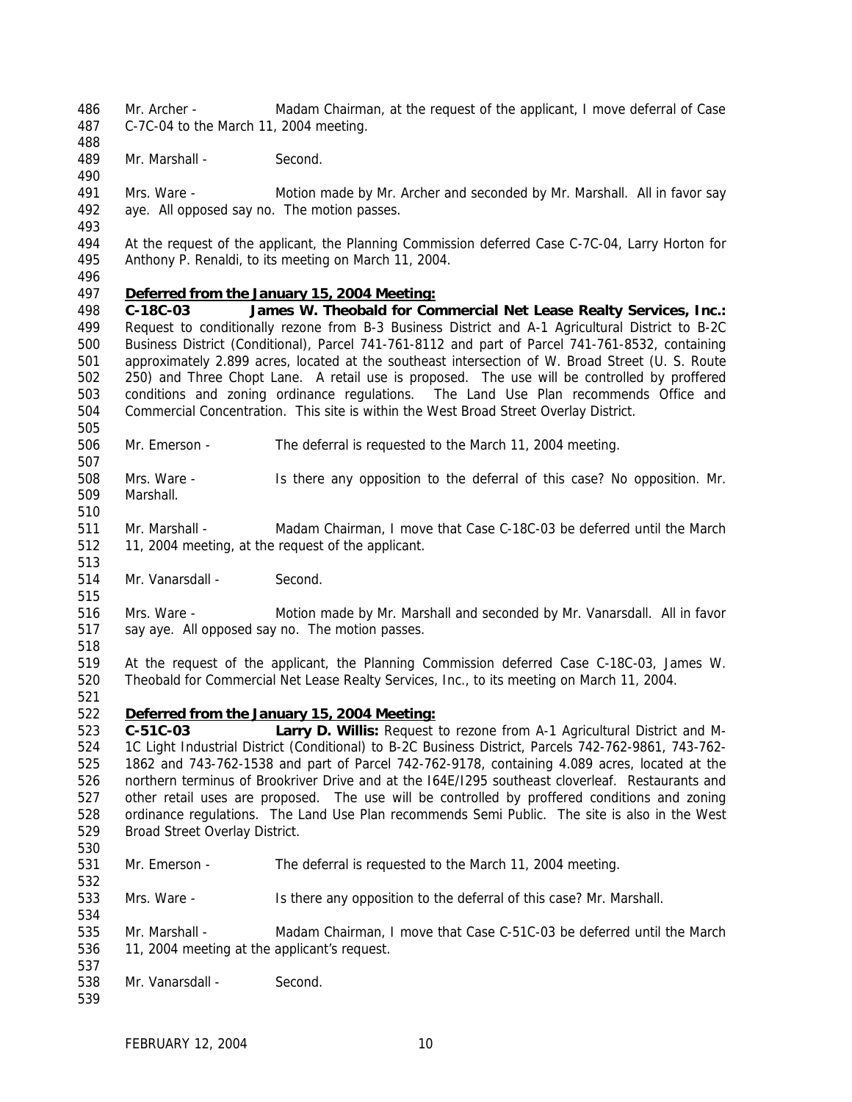Mr. Archer - Madam Chairman, at the request of the applicant, I move deferral of Case C-7C-04 to the March 11, 2004 meeting.

489 Mr. Marshall - Second.

 Mrs. Ware - Motion made by Mr. Archer and seconded by Mr. Marshall. All in favor say aye. All opposed say no. The motion passes.

 At the request of the applicant, the Planning Commission deferred Case C-7C-04, Larry Horton for Anthony P. Renaldi, to its meeting on March 11, 2004.

### *Deferred from the January 15, 2004 Meeting:*

- **C-18C-03 James W. Theobald for Commercial Net Lease Realty Services, Inc.:** Request to conditionally rezone from B-3 Business District and A-1 Agricultural District to B-2C Business District (Conditional), Parcel 741-761-8112 and part of Parcel 741-761-8532, containing approximately 2.899 acres, located at the southeast intersection of W. Broad Street (U. S. Route 250) and Three Chopt Lane. A retail use is proposed. The use will be controlled by proffered conditions and zoning ordinance regulations. The Land Use Plan recommends Office and Commercial Concentration. This site is within the West Broad Street Overlay District.
- Mr. Emerson The deferral is requested to the March 11, 2004 meeting.
- Mrs. Ware Is there any opposition to the deferral of this case? No opposition. Mr. Marshall.
- 

- Mr. Marshall Madam Chairman, I move that Case C-18C-03 be deferred until the March 11, 2004 meeting, at the request of the applicant.
- 514 Mr. Vanarsdall Second.
- Mrs. Ware Motion made by Mr. Marshall and seconded by Mr. Vanarsdall. All in favor say aye. All opposed say no. The motion passes.
- 

- At the request of the applicant, the Planning Commission deferred Case C-18C-03, James W. Theobald for Commercial Net Lease Realty Services, Inc., to its meeting on March 11, 2004.
- 

# *Deferred from the January 15, 2004 Meeting:*

 **C-51C-03 Larry D. Willis:** Request to rezone from A-1 Agricultural District and M- 1C Light Industrial District (Conditional) to B-2C Business District, Parcels 742-762-9861, 743-762- 1862 and 743-762-1538 and part of Parcel 742-762-9178, containing 4.089 acres, located at the northern terminus of Brookriver Drive and at the I64E/I295 southeast cloverleaf. Restaurants and other retail uses are proposed. The use will be controlled by proffered conditions and zoning ordinance regulations. The Land Use Plan recommends Semi Public. The site is also in the West Broad Street Overlay District.

- Mr. Emerson The deferral is requested to the March 11, 2004 meeting.
- Mrs. Ware Is there any opposition to the deferral of this case? Mr. Marshall.
- Mr. Marshall Madam Chairman, I move that Case C-51C-03 be deferred until the March 11, 2004 meeting at the applicant's request.
- Mr. Vanarsdall - Second.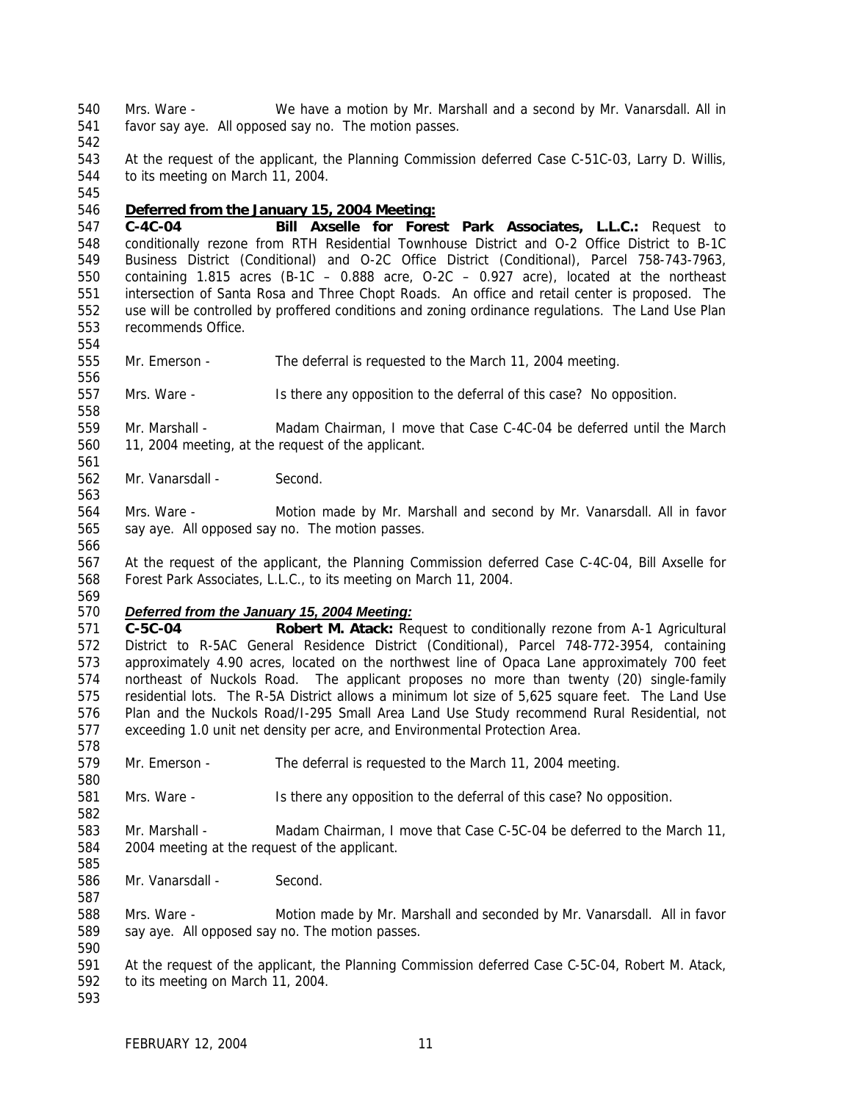Mrs. Ware - We have a motion by Mr. Marshall and a second by Mr. Vanarsdall. All in favor say aye. All opposed say no. The motion passes.

 At the request of the applicant, the Planning Commission deferred Case C-51C-03, Larry D. Willis, to its meeting on March 11, 2004.

#### *Deferred from the January 15, 2004 Meeting:*

 **C-4C-04 Bill Axselle for Forest Park Associates, L.L.C.:** Request to conditionally rezone from RTH Residential Townhouse District and O-2 Office District to B-1C Business District (Conditional) and O-2C Office District (Conditional), Parcel 758-743-7963, containing 1.815 acres (B-1C – 0.888 acre, O-2C – 0.927 acre), located at the northeast intersection of Santa Rosa and Three Chopt Roads. An office and retail center is proposed. The use will be controlled by proffered conditions and zoning ordinance regulations. The Land Use Plan recommends Office.

- Mr. Emerson The deferral is requested to the March 11, 2004 meeting.
- Mrs. Ware Is there any opposition to the deferral of this case? No opposition.
- 559 Mr. Marshall Madam Chairman, I move that Case C-4C-04 be deferred until the March 11, 2004 meeting, at the request of the applicant.
- Mr. Vanarsdall Second.
- Mrs. Ware Motion made by Mr. Marshall and second by Mr. Vanarsdall. All in favor say aye. All opposed say no. The motion passes.
- At the request of the applicant, the Planning Commission deferred Case C-4C-04, Bill Axselle for Forest Park Associates, L.L.C., to its meeting on March 11, 2004.
- 

### *Deferred from the January 15, 2004 Meeting:*

 **C-5C-04 Robert M. Atack:** Request to conditionally rezone from A-1 Agricultural District to R-5AC General Residence District (Conditional), Parcel 748-772-3954, containing approximately 4.90 acres, located on the northwest line of Opaca Lane approximately 700 feet northeast of Nuckols Road. The applicant proposes no more than twenty (20) single-family residential lots. The R-5A District allows a minimum lot size of 5,625 square feet. The Land Use Plan and the Nuckols Road/I-295 Small Area Land Use Study recommend Rural Residential, not exceeding 1.0 unit net density per acre, and Environmental Protection Area.

- Mr. Emerson The deferral is requested to the March 11, 2004 meeting.
- Mrs. Ware Is there any opposition to the deferral of this case? No opposition.
- Mr. Marshall Madam Chairman, I move that Case C-5C-04 be deferred to the March 11, 2004 meeting at the request of the applicant.
- Mr. Vanarsdall Second.
- Mrs. Ware Motion made by Mr. Marshall and seconded by Mr. Vanarsdall. All in favor say aye. All opposed say no. The motion passes.
- At the request of the applicant, the Planning Commission deferred Case C-5C-04, Robert M. Atack, to its meeting on March 11, 2004.
-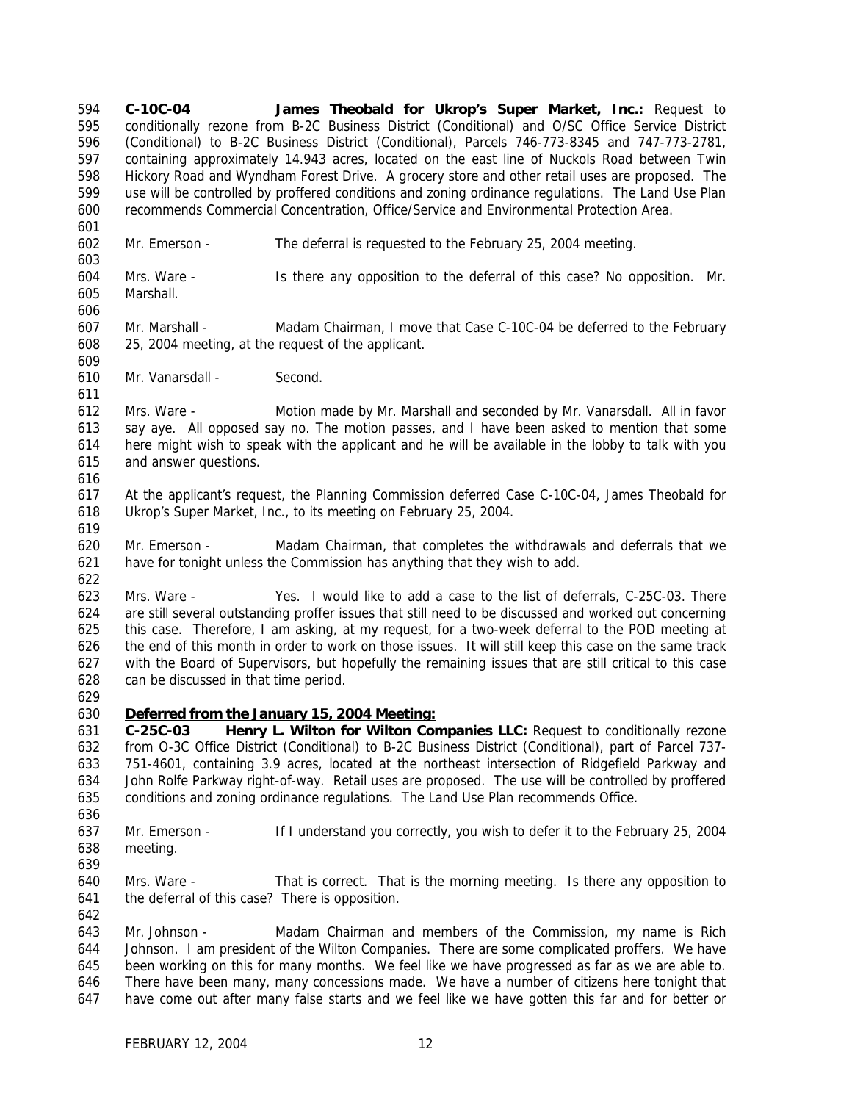**C-10C-04 James Theobald for Ukrop's Super Market, Inc.:** Request to conditionally rezone from B-2C Business District (Conditional) and O/SC Office Service District (Conditional) to B-2C Business District (Conditional), Parcels 746-773-8345 and 747-773-2781, containing approximately 14.943 acres, located on the east line of Nuckols Road between Twin Hickory Road and Wyndham Forest Drive. A grocery store and other retail uses are proposed. The use will be controlled by proffered conditions and zoning ordinance regulations. The Land Use Plan recommends Commercial Concentration, Office/Service and Environmental Protection Area.

- Mr. Emerson The deferral is requested to the February 25, 2004 meeting.
- Mrs. Ware Is there any opposition to the deferral of this case? No opposition. Mr. Marshall.
- 

- Mr. Marshall Madam Chairman, I move that Case C-10C-04 be deferred to the February 25, 2004 meeting, at the request of the applicant.
- Mr. Vanarsdall Second.

 Mrs. Ware - Motion made by Mr. Marshall and seconded by Mr. Vanarsdall. All in favor say aye. All opposed say no. The motion passes, and I have been asked to mention that some here might wish to speak with the applicant and he will be available in the lobby to talk with you and answer questions.

 At the applicant's request, the Planning Commission deferred Case C-10C-04, James Theobald for Ukrop's Super Market, Inc., to its meeting on February 25, 2004.

 Mr. Emerson - Madam Chairman, that completes the withdrawals and deferrals that we have for tonight unless the Commission has anything that they wish to add.

 Mrs. Ware - Yes. I would like to add a case to the list of deferrals, C-25C-03. There are still several outstanding proffer issues that still need to be discussed and worked out concerning this case. Therefore, I am asking, at my request, for a two-week deferral to the POD meeting at the end of this month in order to work on those issues. It will still keep this case on the same track with the Board of Supervisors, but hopefully the remaining issues that are still critical to this case can be discussed in that time period.

- 
- *Deferred from the January 15, 2004 Meeting:*

 **C-25C-03 Henry L. Wilton for Wilton Companies LLC:** Request to conditionally rezone from O-3C Office District (Conditional) to B-2C Business District (Conditional), part of Parcel 737- 751-4601, containing 3.9 acres, located at the northeast intersection of Ridgefield Parkway and John Rolfe Parkway right-of-way. Retail uses are proposed. The use will be controlled by proffered conditions and zoning ordinance regulations. The Land Use Plan recommends Office. 

- Mr. Emerson If I understand you correctly, you wish to defer it to the February 25, 2004 meeting.
- 
- Mrs. Ware That is correct. That is the morning meeting. Is there any opposition to the deferral of this case? There is opposition.

 Mr. Johnson - Madam Chairman and members of the Commission, my name is Rich Johnson. I am president of the Wilton Companies. There are some complicated proffers. We have been working on this for many months. We feel like we have progressed as far as we are able to. There have been many, many concessions made. We have a number of citizens here tonight that have come out after many false starts and we feel like we have gotten this far and for better or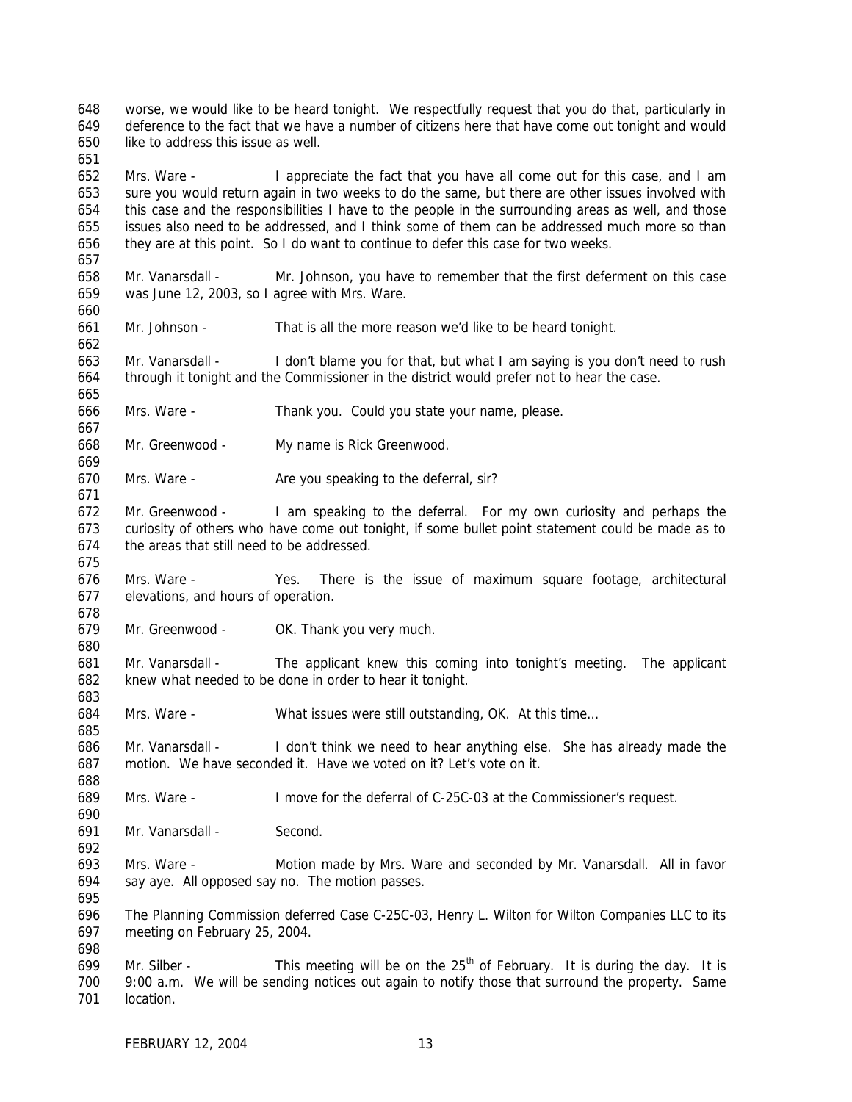worse, we would like to be heard tonight. We respectfully request that you do that, particularly in deference to the fact that we have a number of citizens here that have come out tonight and would like to address this issue as well.

 Mrs. Ware - I appreciate the fact that you have all come out for this case, and I am sure you would return again in two weeks to do the same, but there are other issues involved with this case and the responsibilities I have to the people in the surrounding areas as well, and those issues also need to be addressed, and I think some of them can be addressed much more so than they are at this point. So I do want to continue to defer this case for two weeks.

 Mr. Vanarsdall - Mr. Johnson, you have to remember that the first deferment on this case was June 12, 2003, so I agree with Mrs. Ware.

Mr. Johnson - That is all the more reason we'd like to be heard tonight.

 Mr. Vanarsdall - I don't blame you for that, but what I am saying is you don't need to rush through it tonight and the Commissioner in the district would prefer not to hear the case.

Mrs. Ware - Thank you. Could you state your name, please.

Mr. Greenwood - My name is Rick Greenwood.

670 Mrs. Ware - Are you speaking to the deferral, sir?

672 Mr. Greenwood - I am speaking to the deferral. For my own curiosity and perhaps the curiosity of others who have come out tonight, if some bullet point statement could be made as to the areas that still need to be addressed.

 Mrs. Ware - Yes. There is the issue of maximum square footage, architectural elevations, and hours of operation.

Mr. Greenwood - OK. Thank you very much.

 Mr. Vanarsdall - The applicant knew this coming into tonight's meeting. The applicant knew what needed to be done in order to hear it tonight.

Mrs. Ware - What issues were still outstanding, OK. At this time…

 Mr. Vanarsdall - I don't think we need to hear anything else. She has already made the motion. We have seconded it. Have we voted on it? Let's vote on it.

Mrs. Ware - I move for the deferral of C-25C-03 at the Commissioner's request.

Mr. Vanarsdall - Second.

 Mrs. Ware - Motion made by Mrs. Ware and seconded by Mr. Vanarsdall. All in favor say aye. All opposed say no. The motion passes.

 The Planning Commission deferred Case C-25C-03, Henry L. Wilton for Wilton Companies LLC to its meeting on February 25, 2004.

699 Mr. Silber - This meeting will be on the  $25<sup>th</sup>$  of February. It is during the day. It is 9:00 a.m. We will be sending notices out again to notify those that surround the property. Same location.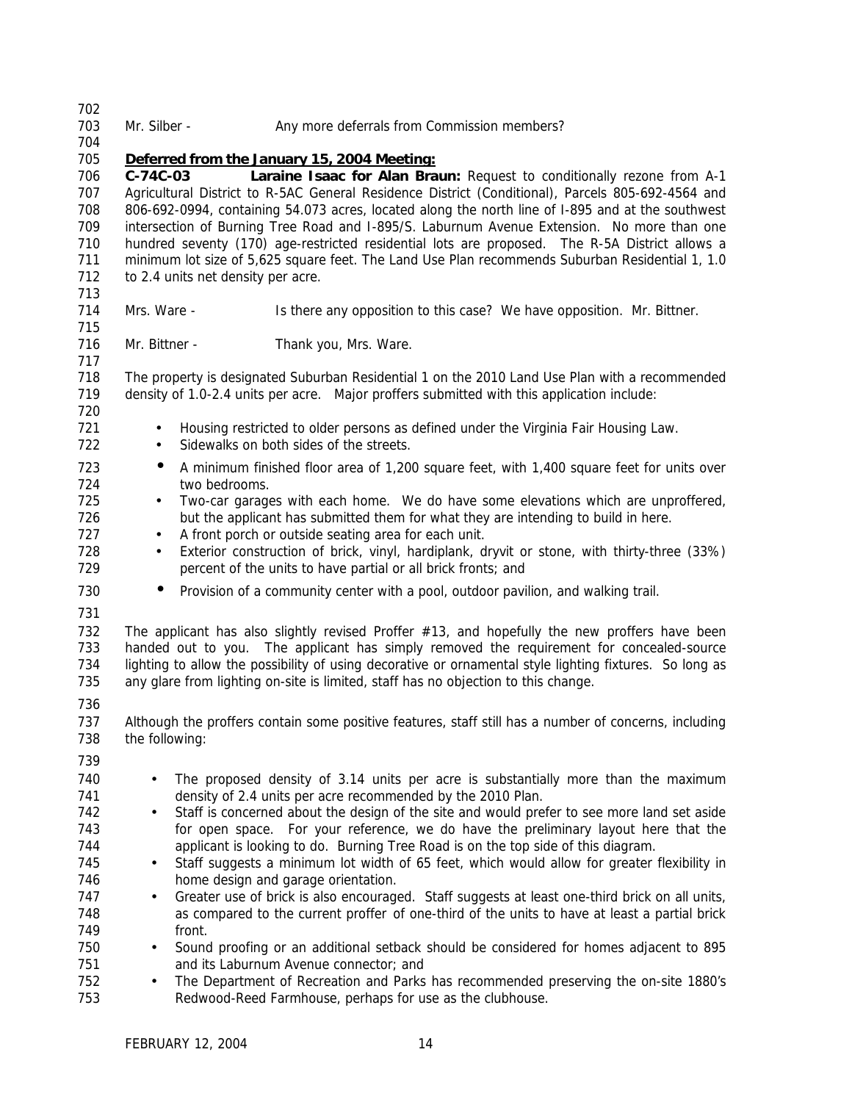| 702        |                                                                                                                                                                                                        |  |  |  |  |  |  |
|------------|--------------------------------------------------------------------------------------------------------------------------------------------------------------------------------------------------------|--|--|--|--|--|--|
| 703<br>704 | Mr. Silber -<br>Any more deferrals from Commission members?                                                                                                                                            |  |  |  |  |  |  |
| 705        | Deferred from the January 15, 2004 Meeting:                                                                                                                                                            |  |  |  |  |  |  |
| 706        | Laraine Isaac for Alan Braun: Request to conditionally rezone from A-1<br>$C-74C-03$                                                                                                                   |  |  |  |  |  |  |
| 707<br>708 | Agricultural District to R-5AC General Residence District (Conditional), Parcels 805-692-4564 and<br>806-692-0994, containing 54.073 acres, located along the north line of I-895 and at the southwest |  |  |  |  |  |  |
| 709        | intersection of Burning Tree Road and I-895/S. Laburnum Avenue Extension. No more than one                                                                                                             |  |  |  |  |  |  |
| 710        | hundred seventy (170) age-restricted residential lots are proposed. The R-5A District allows a                                                                                                         |  |  |  |  |  |  |
| 711        | minimum lot size of 5,625 square feet. The Land Use Plan recommends Suburban Residential 1, 1.0                                                                                                        |  |  |  |  |  |  |
| 712<br>713 | to 2.4 units net density per acre.                                                                                                                                                                     |  |  |  |  |  |  |
| 714        | Mrs. Ware -<br>Is there any opposition to this case? We have opposition. Mr. Bittner.                                                                                                                  |  |  |  |  |  |  |
| 715        |                                                                                                                                                                                                        |  |  |  |  |  |  |
| 716        | Mr. Bittner -<br>Thank you, Mrs. Ware.                                                                                                                                                                 |  |  |  |  |  |  |
| 717        |                                                                                                                                                                                                        |  |  |  |  |  |  |
| 718        | The property is designated Suburban Residential 1 on the 2010 Land Use Plan with a recommended                                                                                                         |  |  |  |  |  |  |
| 719<br>720 | density of 1.0-2.4 units per acre. Major proffers submitted with this application include:                                                                                                             |  |  |  |  |  |  |
| 721<br>722 | Housing restricted to older persons as defined under the Virginia Fair Housing Law.<br>$\bullet$<br>Sidewalks on both sides of the streets.<br>$\bullet$                                               |  |  |  |  |  |  |
| 723        | A minimum finished floor area of 1,200 square feet, with 1,400 square feet for units over<br>$\bullet$                                                                                                 |  |  |  |  |  |  |
| 724        | two bedrooms.                                                                                                                                                                                          |  |  |  |  |  |  |
| 725        | Two-car garages with each home. We do have some elevations which are unproffered,<br>$\bullet$                                                                                                         |  |  |  |  |  |  |
| 726        | but the applicant has submitted them for what they are intending to build in here.                                                                                                                     |  |  |  |  |  |  |
| 727        | A front porch or outside seating area for each unit.<br>$\bullet$                                                                                                                                      |  |  |  |  |  |  |
| 728        | Exterior construction of brick, vinyl, hardiplank, dryvit or stone, with thirty-three (33%)<br>$\bullet$                                                                                               |  |  |  |  |  |  |
| 729        | percent of the units to have partial or all brick fronts; and                                                                                                                                          |  |  |  |  |  |  |
| 730        | Provision of a community center with a pool, outdoor pavilion, and walking trail.<br>$\bullet$                                                                                                         |  |  |  |  |  |  |
| 731        |                                                                                                                                                                                                        |  |  |  |  |  |  |
| 732        | The applicant has also slightly revised Proffer $#13$ , and hopefully the new proffers have been                                                                                                       |  |  |  |  |  |  |
| 733<br>734 | handed out to you. The applicant has simply removed the requirement for concealed-source<br>lighting to allow the possibility of using decorative or ornamental style lighting fixtures. So long as    |  |  |  |  |  |  |
| 735        | any glare from lighting on-site is limited, staff has no objection to this change.                                                                                                                     |  |  |  |  |  |  |
| 736        |                                                                                                                                                                                                        |  |  |  |  |  |  |
| 737        | Although the proffers contain some positive features, staff still has a number of concerns, including                                                                                                  |  |  |  |  |  |  |
| 738        | the following:                                                                                                                                                                                         |  |  |  |  |  |  |
| 739        |                                                                                                                                                                                                        |  |  |  |  |  |  |
| 740        | The proposed density of 3.14 units per acre is substantially more than the maximum<br>$\bullet$                                                                                                        |  |  |  |  |  |  |
| 741        | density of 2.4 units per acre recommended by the 2010 Plan.                                                                                                                                            |  |  |  |  |  |  |
| 742        | Staff is concerned about the design of the site and would prefer to see more land set aside<br>$\bullet$                                                                                               |  |  |  |  |  |  |
| 743        | for open space. For your reference, we do have the preliminary layout here that the                                                                                                                    |  |  |  |  |  |  |
| 744        | applicant is looking to do. Burning Tree Road is on the top side of this diagram.                                                                                                                      |  |  |  |  |  |  |
| 745        | Staff suggests a minimum lot width of 65 feet, which would allow for greater flexibility in<br>$\bullet$                                                                                               |  |  |  |  |  |  |
| 746        | home design and garage orientation.                                                                                                                                                                    |  |  |  |  |  |  |
| 747        | Greater use of brick is also encouraged. Staff suggests at least one-third brick on all units,<br>$\bullet$                                                                                            |  |  |  |  |  |  |
| 748<br>749 | as compared to the current proffer of one-third of the units to have at least a partial brick<br>front.                                                                                                |  |  |  |  |  |  |
| 750        | Sound proofing or an additional setback should be considered for homes adjacent to 895<br>$\bullet$                                                                                                    |  |  |  |  |  |  |
| 751        | and its Laburnum Avenue connector; and                                                                                                                                                                 |  |  |  |  |  |  |
| 752        | The Department of Recreation and Parks has recommended preserving the on-site 1880's<br>$\bullet$                                                                                                      |  |  |  |  |  |  |
| 753        | Redwood-Reed Farmhouse, perhaps for use as the clubhouse.                                                                                                                                              |  |  |  |  |  |  |
|            |                                                                                                                                                                                                        |  |  |  |  |  |  |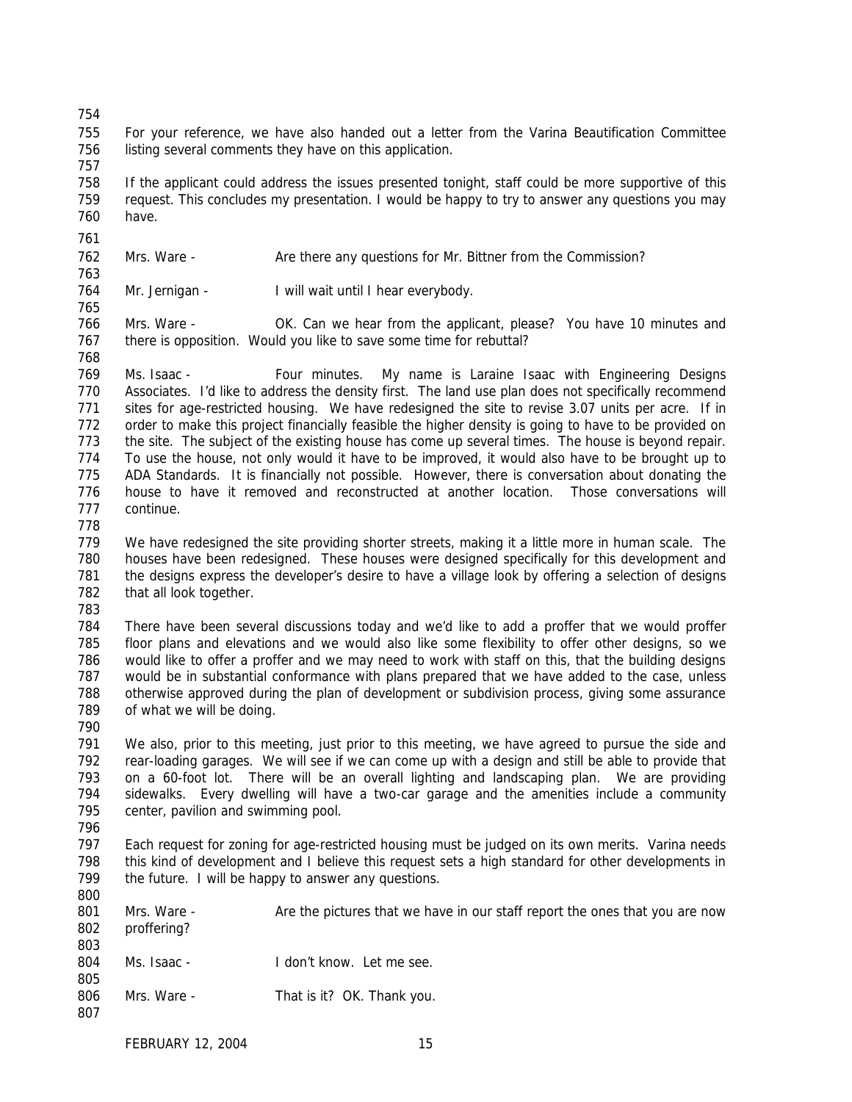- For your reference, we have also handed out a letter from the Varina Beautification Committee listing several comments they have on this application.
- If the applicant could address the issues presented tonight, staff could be more supportive of this request. This concludes my presentation. I would be happy to try to answer any questions you may have.
- 
- 762 Mrs. Ware Are there any questions for Mr. Bittner from the Commission?
- 764 Mr. Jernigan I will wait until I hear everybody.
- Mrs. Ware OK. Can we hear from the applicant, please? You have 10 minutes and there is opposition. Would you like to save some time for rebuttal?
- 

769 Ms. Isaac - Four minutes. My name is Laraine Isaac with Engineering Designs Associates. I'd like to address the density first. The land use plan does not specifically recommend sites for age-restricted housing. We have redesigned the site to revise 3.07 units per acre. If in order to make this project financially feasible the higher density is going to have to be provided on the site. The subject of the existing house has come up several times. The house is beyond repair. To use the house, not only would it have to be improved, it would also have to be brought up to ADA Standards. It is financially not possible. However, there is conversation about donating the house to have it removed and reconstructed at another location. Those conversations will continue.

 We have redesigned the site providing shorter streets, making it a little more in human scale. The houses have been redesigned. These houses were designed specifically for this development and the designs express the developer's desire to have a village look by offering a selection of designs that all look together.

 There have been several discussions today and we'd like to add a proffer that we would proffer floor plans and elevations and we would also like some flexibility to offer other designs, so we would like to offer a proffer and we may need to work with staff on this, that the building designs would be in substantial conformance with plans prepared that we have added to the case, unless otherwise approved during the plan of development or subdivision process, giving some assurance of what we will be doing.

 We also, prior to this meeting, just prior to this meeting, we have agreed to pursue the side and rear-loading garages. We will see if we can come up with a design and still be able to provide that on a 60-foot lot. There will be an overall lighting and landscaping plan. We are providing sidewalks. Every dwelling will have a two-car garage and the amenities include a community center, pavilion and swimming pool.

 Each request for zoning for age-restricted housing must be judged on its own merits. Varina needs this kind of development and I believe this request sets a high standard for other developments in 799 the future. I will be happy to answer any questions. 

- 801 Mrs. Ware Are the pictures that we have in our staff report the ones that you are now proffering? Ms. Isaac - I don't know. Let me see.
- 806 Mrs. Ware That is it? OK. Thank you.
-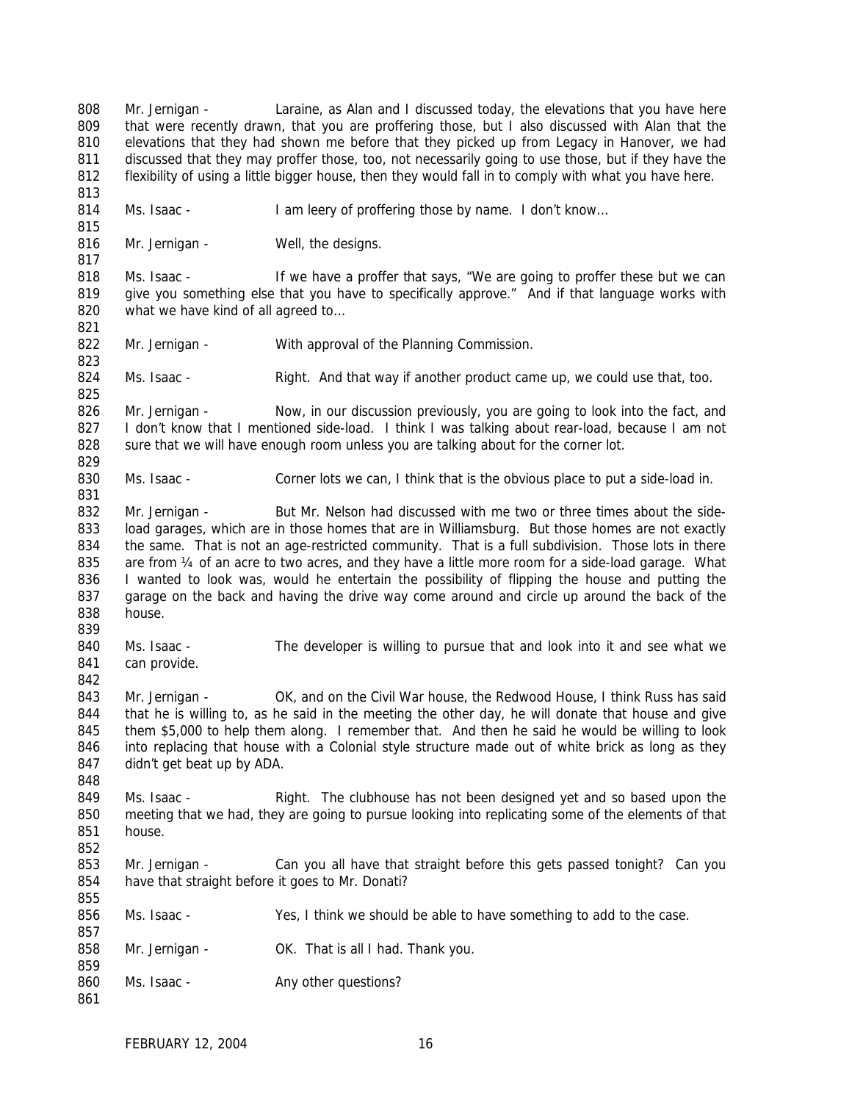808 Mr. Jernigan - Laraine, as Alan and I discussed today, the elevations that you have here 809 that were recently drawn, that you are proffering those, but I also discussed with Alan that the 810 elevations that they had shown me before that they picked up from Legacy in Hanover, we had 811 discussed that they may proffer those, too, not necessarily going to use those, but if they have the 812 flexibility of using a little bigger house, then they would fall in to comply with what you have here. 813 814 Ms. Isaac - I am leery of proffering those by name. I don't know... 815 816 Mr. Jernigan - Well, the designs. 817 818 Ms. Isaac - If we have a proffer that says, "We are going to proffer these but we can 819 give you something else that you have to specifically approve." And if that language works with 820 what we have kind of all agreed to... 821 822 Mr. Jernigan - With approval of the Planning Commission. 823 824 Ms. Isaac - Right. And that way if another product came up, we could use that, too. 825 826 Mr. Jernigan - Now, in our discussion previously, you are going to look into the fact, and 827 I don't know that I mentioned side-load. I think I was talking about rear-load, because I am not 828 sure that we will have enough room unless you are talking about for the corner lot. 829 830 Ms. Isaac - Corner lots we can, I think that is the obvious place to put a side-load in. 831 832 Mr. Jernigan - But Mr. Nelson had discussed with me two or three times about the side-833 load garages, which are in those homes that are in Williamsburg. But those homes are not exactly 834 the same. That is not an age-restricted community. That is a full subdivision. Those lots in there 835 are from  $\frac{1}{4}$  of an acre to two acres, and they have a little more room for a side-load garage. What 836 I wanted to look was, would he entertain the possibility of flipping the house and putting the 837 garage on the back and having the drive way come around and circle up around the back of the 838 house. 839 840 Ms. Isaac - The developer is willing to pursue that and look into it and see what we 841 can provide. 842 843 Mr. Jernigan - OK, and on the Civil War house, the Redwood House, I think Russ has said 844 that he is willing to, as he said in the meeting the other day, he will donate that house and give 845 them \$5,000 to help them along. I remember that. And then he said he would be willing to look 846 into replacing that house with a Colonial style structure made out of white brick as long as they 847 didn't get beat up by ADA. 848 849 Ms. Isaac - Right. The clubhouse has not been designed yet and so based upon the 850 meeting that we had, they are going to pursue looking into replicating some of the elements of that 851 house. 852 853 Mr. Jernigan - Can you all have that straight before this gets passed tonight? Can you 854 have that straight before it goes to Mr. Donati? 855 856 Ms. Isaac - Yes, I think we should be able to have something to add to the case. 857 858 Mr. Jernigan - OK. That is all I had. Thank you. 859 860 Ms. Isaac - Any other questions? 861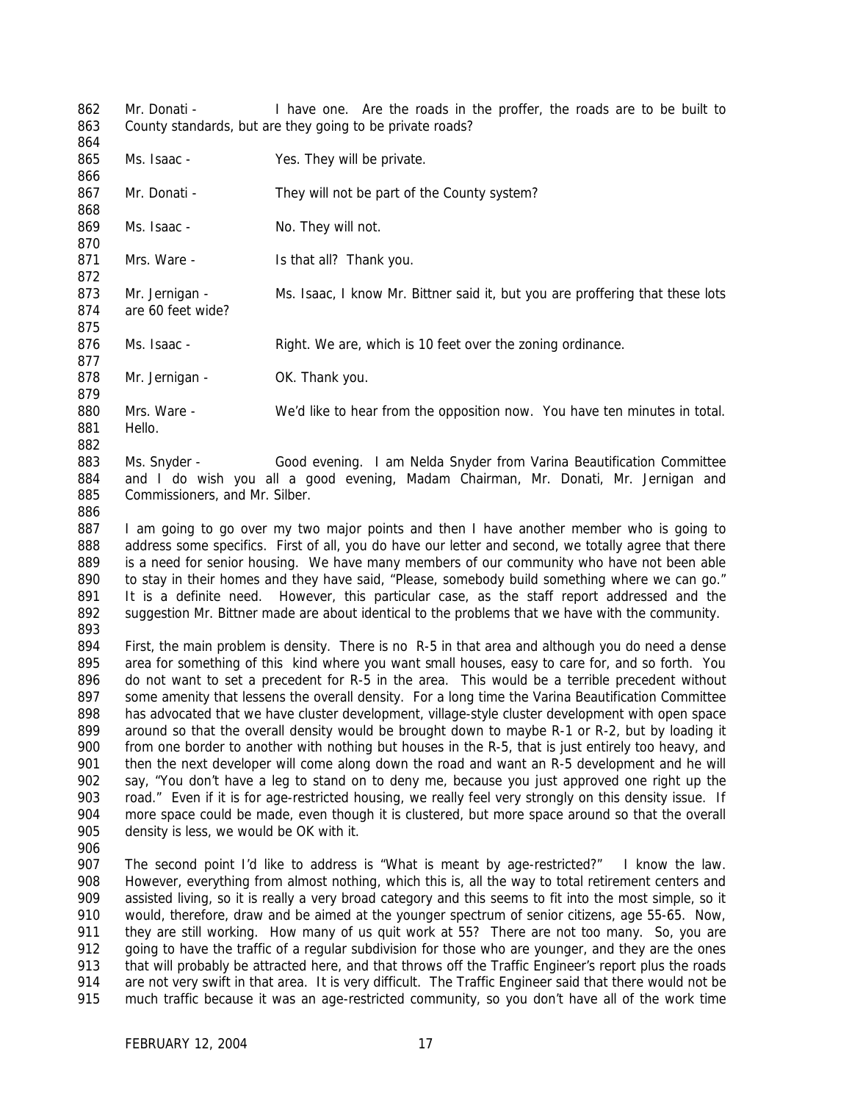862 Mr. Donati - I have one. Are the roads in the proffer, the roads are to be built to County standards, but are they going to be private roads? 865 Ms. Isaac - Yes. They will be private. 867 Mr. Donati - They will not be part of the County system? 869 Ms. Isaac - No. They will not. 871 Mrs. Ware - Is that all? Thank you. 873 Mr. Jernigan - Ms. Isaac, I know Mr. Bittner said it, but you are proffering that these lots are 60 feet wide? 876 Ms. Isaac - Right. We are, which is 10 feet over the zoning ordinance. 878 Mr. Jernigan - OK. Thank you. Mrs. Ware - We'd like to hear from the opposition now. You have ten minutes in total. Hello. Ms. Snyder - Good evening. I am Nelda Snyder from Varina Beautification Committee and I do wish you all a good evening, Madam Chairman, Mr. Donati, Mr. Jernigan and Commissioners, and Mr. Silber. I am going to go over my two major points and then I have another member who is going to 888 address some specifics. First of all, you do have our letter and second, we totally agree that there is a need for senior housing. We have many members of our community who have not been able 890 to stay in their homes and they have said, "Please, somebody build something where we can go." It is a definite need. However, this particular case, as the staff report addressed and the suggestion Mr. Bittner made are about identical to the problems that we have with the community. First, the main problem is density. There is no R-5 in that area and although you do need a dense area for something of this kind where you want small houses, easy to care for, and so forth. You do not want to set a precedent for R-5 in the area. This would be a terrible precedent without some amenity that lessens the overall density. For a long time the Varina Beautification Committee has advocated that we have cluster development, village-style cluster development with open space around so that the overall density would be brought down to maybe R-1 or R-2, but by loading it from one border to another with nothing but houses in the R-5, that is just entirely too heavy, and then the next developer will come along down the road and want an R-5 development and he will say, "You don't have a leg to stand on to deny me, because you just approved one right up the 903 road." Even if it is for age-restricted housing, we really feel very strongly on this density issue. If more space could be made, even though it is clustered, but more space around so that the overall density is less, we would be OK with it. 907 The second point I'd like to address is "What is meant by age-restricted?" I know the law. However, everything from almost nothing, which this is, all the way to total retirement centers and assisted living, so it is really a very broad category and this seems to fit into the most simple, so it would, therefore, draw and be aimed at the younger spectrum of senior citizens, age 55-65. Now, 911 they are still working. How many of us quit work at 55? There are not too many. So, you are 912 going to have the traffic of a regular subdivision for those who are younger, and they are the ones<br>913 that will probably be attracted here, and that throws off the Traffic Engineer's report plus the roads that will probably be attracted here, and that throws off the Traffic Engineer's report plus the roads are not very swift in that area. It is very difficult. The Traffic Engineer said that there would not be much traffic because it was an age-restricted community, so you don't have all of the work time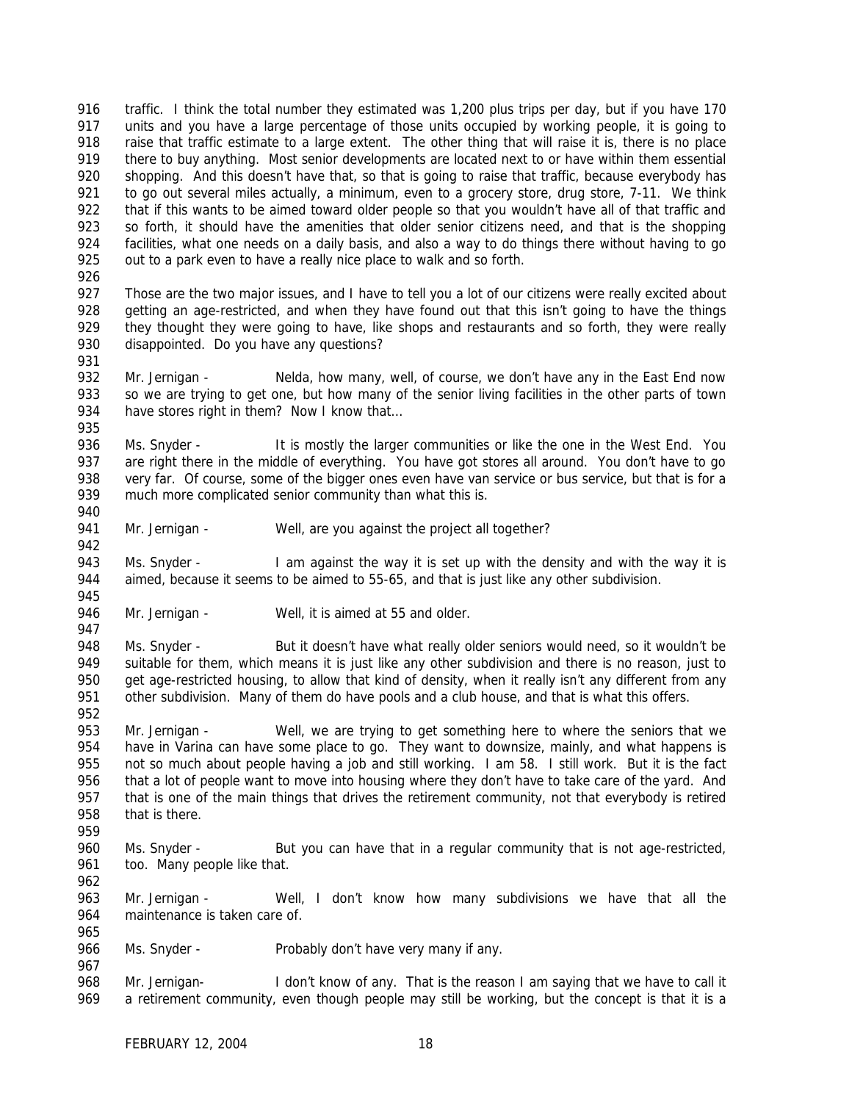traffic. I think the total number they estimated was 1,200 plus trips per day, but if you have 170 units and you have a large percentage of those units occupied by working people, it is going to raise that traffic estimate to a large extent. The other thing that will raise it is, there is no place there to buy anything. Most senior developments are located next to or have within them essential shopping. And this doesn't have that, so that is going to raise that traffic, because everybody has 921 to go out several miles actually, a minimum, even to a grocery store, drug store, 7-11. We think that if this wants to be aimed toward older people so that you wouldn't have all of that traffic and so forth, it should have the amenities that older senior citizens need, and that is the shopping facilities, what one needs on a daily basis, and also a way to do things there without having to go 925 out to a park even to have a really nice place to walk and so forth.

927 Those are the two major issues, and I have to tell you a lot of our citizens were really excited about getting an age-restricted, and when they have found out that this isn't going to have the things they thought they were going to have, like shops and restaurants and so forth, they were really disappointed. Do you have any questions? 

 Mr. Jernigan - Nelda, how many, well, of course, we don't have any in the East End now so we are trying to get one, but how many of the senior living facilities in the other parts of town 934 have stores right in them? Now I know that... 

936 Ms. Snyder - It is mostly the larger communities or like the one in the West End. You are right there in the middle of everything. You have got stores all around. You don't have to go very far. Of course, some of the bigger ones even have van service or bus service, but that is for a much more complicated senior community than what this is.

941 Mr. Jernigan - Well, are you against the project all together?

943 Ms. Snyder - I am against the way it is set up with the density and with the way it is aimed, because it seems to be aimed to 55-65, and that is just like any other subdivision. 

946 Mr. Jernigan - Well, it is aimed at 55 and older.

 948 Ms. Snyder - But it doesn't have what really older seniors would need, so it wouldn't be suitable for them, which means it is just like any other subdivision and there is no reason, just to 950 get age-restricted housing, to allow that kind of density, when it really isn't any different from any other subdivision. Many of them do have pools and a club house, and that is what this offers.

 Mr. Jernigan - Well, we are trying to get something here to where the seniors that we have in Varina can have some place to go. They want to downsize, mainly, and what happens is not so much about people having a job and still working. I am 58. I still work. But it is the fact 956 that a lot of people want to move into housing where they don't have to take care of the yard. And that is one of the main things that drives the retirement community, not that everybody is retired that is there.

- 960 Ms. Snyder But you can have that in a regular community that is not age-restricted, 961 too. Many people like that.
- 

 Mr. Jernigan - Well, I don't know how many subdivisions we have that all the maintenance is taken care of. 

966 Ms. Snyder - Probably don't have very many if any.

 Mr. Jernigan- I don't know of any. That is the reason I am saying that we have to call it a retirement community, even though people may still be working, but the concept is that it is a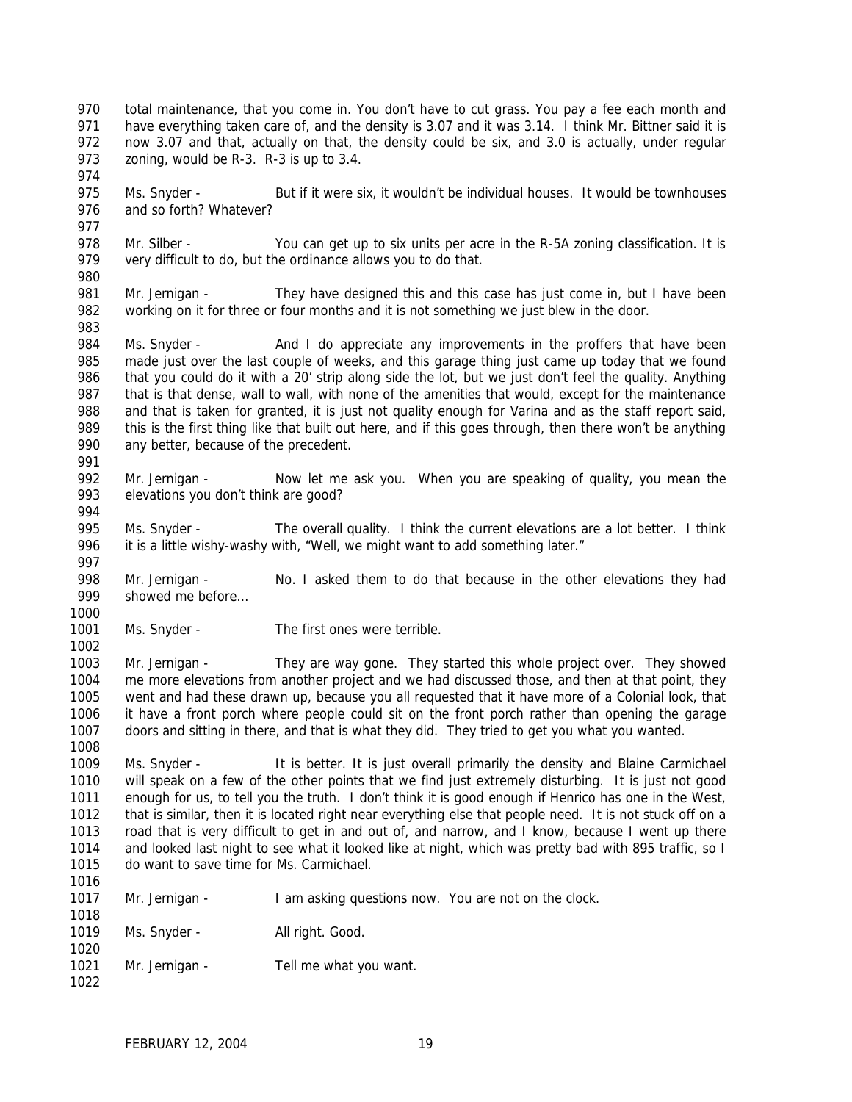- total maintenance, that you come in. You don't have to cut grass. You pay a fee each month and 971 have everything taken care of, and the density is 3.07 and it was 3.14. I think Mr. Bittner said it is now 3.07 and that, actually on that, the density could be six, and 3.0 is actually, under regular 973 zoning, would be R-3. R-3 is up to 3.4.
- 975 Ms. Snyder But if it were six, it wouldn't be individual houses. It would be townhouses and so forth? Whatever?
- 978 Mr. Silber You can get up to six units per acre in the R-5A zoning classification. It is very difficult to do, but the ordinance allows you to do that.
- 

 Mr. Jernigan - They have designed this and this case has just come in, but I have been working on it for three or four months and it is not something we just blew in the door.

- 984 Ms. Snyder And I do appreciate any improvements in the proffers that have been made just over the last couple of weeks, and this garage thing just came up today that we found that you could do it with a 20' strip along side the lot, but we just don't feel the quality. Anything that is that dense, wall to wall, with none of the amenities that would, except for the maintenance and that is taken for granted, it is just not quality enough for Varina and as the staff report said, 989 this is the first thing like that built out here, and if this goes through, then there won't be anything any better, because of the precedent.
- 
- Mr. Jernigan Now let me ask you. When you are speaking of quality, you mean the elevations you don't think are good?
- 

- 995 Ms. Snyder The overall quality. I think the current elevations are a lot better. I think 996 it is a little wishy-washy with, "Well, we might want to add something later."
- 998 Mr. Jernigan No. I asked them to do that because in the other elevations they had showed me before…
- Ms. Snyder The first ones were terrible.
- Mr. Jernigan They are way gone. They started this whole project over. They showed me more elevations from another project and we had discussed those, and then at that point, they went and had these drawn up, because you all requested that it have more of a Colonial look, that it have a front porch where people could sit on the front porch rather than opening the garage doors and sitting in there, and that is what they did. They tried to get you what you wanted.
- Ms. Snyder It is better. It is just overall primarily the density and Blaine Carmichael will speak on a few of the other points that we find just extremely disturbing. It is just not good enough for us, to tell you the truth. I don't think it is good enough if Henrico has one in the West, that is similar, then it is located right near everything else that people need. It is not stuck off on a road that is very difficult to get in and out of, and narrow, and I know, because I went up there and looked last night to see what it looked like at night, which was pretty bad with 895 traffic, so I do want to save time for Ms. Carmichael.
- 1017 Mr. Jernigan I am asking questions now. You are not on the clock.
- 1019 Ms. Snyder All right. Good.
- 1021 Mr. Jernigan Tell me what you want.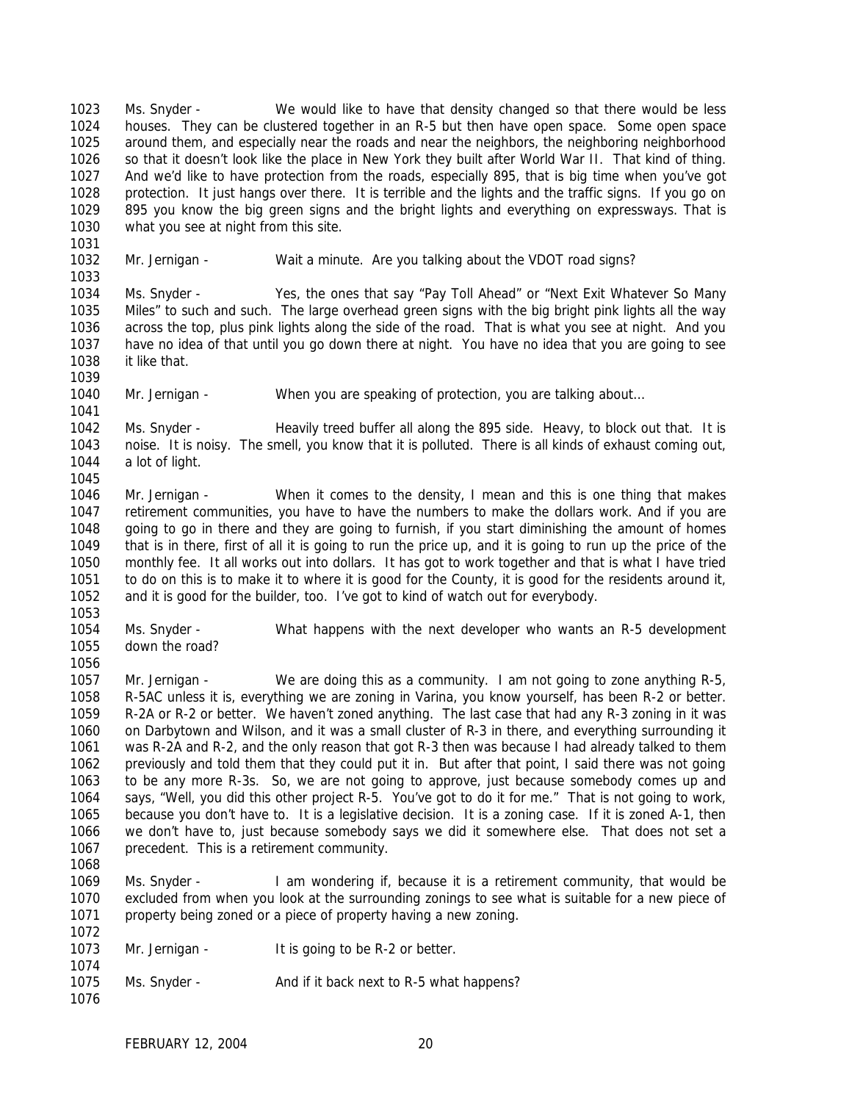Ms. Snyder - We would like to have that density changed so that there would be less houses. They can be clustered together in an R-5 but then have open space. Some open space around them, and especially near the roads and near the neighbors, the neighboring neighborhood so that it doesn't look like the place in New York they built after World War II. That kind of thing. And we'd like to have protection from the roads, especially 895, that is big time when you've got protection. It just hangs over there. It is terrible and the lights and the traffic signs. If you go on 895 you know the big green signs and the bright lights and everything on expressways. That is what you see at night from this site.

 Mr. Jernigan - Wait a minute. Are you talking about the VDOT road signs? 

 Ms. Snyder - Yes, the ones that say "Pay Toll Ahead" or "Next Exit Whatever So Many Miles" to such and such. The large overhead green signs with the big bright pink lights all the way across the top, plus pink lights along the side of the road. That is what you see at night. And you have no idea of that until you go down there at night. You have no idea that you are going to see it like that.

Mr. Jernigan - When you are speaking of protection, you are talking about…

1042 Ms. Snyder - Heavily treed buffer all along the 895 side. Heavy, to block out that. It is noise. It is noisy. The smell, you know that it is polluted. There is all kinds of exhaust coming out, a lot of light.

 Mr. Jernigan - When it comes to the density, I mean and this is one thing that makes retirement communities, you have to have the numbers to make the dollars work. And if you are going to go in there and they are going to furnish, if you start diminishing the amount of homes that is in there, first of all it is going to run the price up, and it is going to run up the price of the monthly fee. It all works out into dollars. It has got to work together and that is what I have tried to do on this is to make it to where it is good for the County, it is good for the residents around it, and it is good for the builder, too. I've got to kind of watch out for everybody.

 Ms. Snyder - What happens with the next developer who wants an R-5 development down the road?

 Mr. Jernigan - We are doing this as a community. I am not going to zone anything R-5, R-5AC unless it is, everything we are zoning in Varina, you know yourself, has been R-2 or better. R-2A or R-2 or better. We haven't zoned anything. The last case that had any R-3 zoning in it was on Darbytown and Wilson, and it was a small cluster of R-3 in there, and everything surrounding it was R-2A and R-2, and the only reason that got R-3 then was because I had already talked to them previously and told them that they could put it in. But after that point, I said there was not going to be any more R-3s. So, we are not going to approve, just because somebody comes up and says, "Well, you did this other project R-5. You've got to do it for me." That is not going to work, because you don't have to. It is a legislative decision. It is a zoning case. If it is zoned A-1, then we don't have to, just because somebody says we did it somewhere else. That does not set a precedent. This is a retirement community. 

 Ms. Snyder - I am wondering if, because it is a retirement community, that would be excluded from when you look at the surrounding zonings to see what is suitable for a new piece of property being zoned or a piece of property having a new zoning.

- 1073 Mr. Jernigan It is going to be R-2 or better.
- 1075 Ms. Snyder And if it back next to R-5 what happens?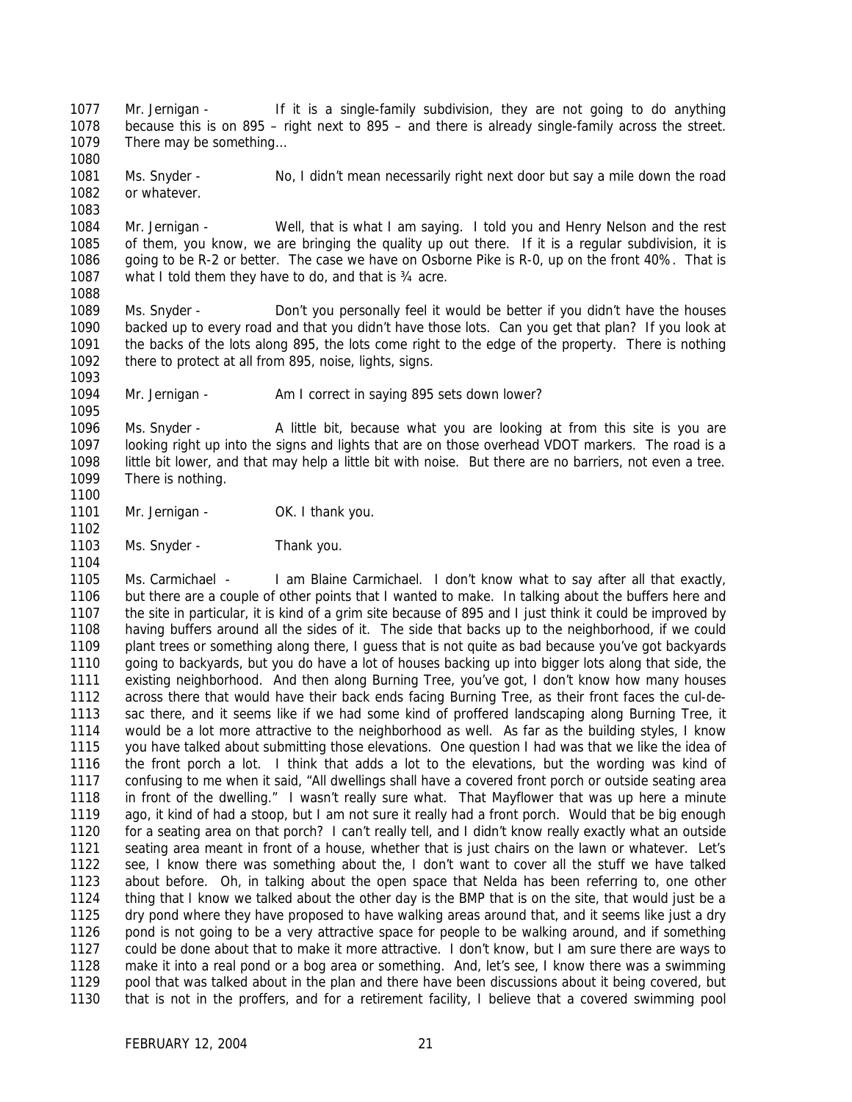Mr. Jernigan - If it is a single-family subdivision, they are not going to do anything because this is on 895 – right next to 895 – and there is already single-family across the street. There may be something…

 Ms. Snyder - No, I didn't mean necessarily right next door but say a mile down the road or whatever.

 Mr. Jernigan - Well, that is what I am saying. I told you and Henry Nelson and the rest of them, you know, we are bringing the quality up out there. If it is a regular subdivision, it is going to be R-2 or better. The case we have on Osborne Pike is R-0, up on the front 40%. That is 1087 what I told them they have to do, and that is 34 acre. 

 Ms. Snyder - Don't you personally feel it would be better if you didn't have the houses backed up to every road and that you didn't have those lots. Can you get that plan? If you look at the backs of the lots along 895, the lots come right to the edge of the property. There is nothing there to protect at all from 895, noise, lights, signs.

1094 Mr. Jernigan - Am I correct in saying 895 sets down lower?

1096 Ms. Snyder - A little bit, because what you are looking at from this site is you are looking right up into the signs and lights that are on those overhead VDOT markers. The road is a little bit lower, and that may help a little bit with noise. But there are no barriers, not even a tree. There is nothing.

1101 Mr. Jernigan - OK. I thank you.

1103 Ms. Snyder - Thank you.

 Ms. Carmichael - I am Blaine Carmichael. I don't know what to say after all that exactly, but there are a couple of other points that I wanted to make. In talking about the buffers here and the site in particular, it is kind of a grim site because of 895 and I just think it could be improved by having buffers around all the sides of it. The side that backs up to the neighborhood, if we could plant trees or something along there, I guess that is not quite as bad because you've got backyards going to backyards, but you do have a lot of houses backing up into bigger lots along that side, the existing neighborhood. And then along Burning Tree, you've got, I don't know how many houses across there that would have their back ends facing Burning Tree, as their front faces the cul-de- sac there, and it seems like if we had some kind of proffered landscaping along Burning Tree, it would be a lot more attractive to the neighborhood as well. As far as the building styles, I know you have talked about submitting those elevations. One question I had was that we like the idea of the front porch a lot. I think that adds a lot to the elevations, but the wording was kind of confusing to me when it said, "All dwellings shall have a covered front porch or outside seating area in front of the dwelling." I wasn't really sure what. That Mayflower that was up here a minute ago, it kind of had a stoop, but I am not sure it really had a front porch. Would that be big enough for a seating area on that porch? I can't really tell, and I didn't know really exactly what an outside seating area meant in front of a house, whether that is just chairs on the lawn or whatever. Let's see, I know there was something about the, I don't want to cover all the stuff we have talked about before. Oh, in talking about the open space that Nelda has been referring to, one other thing that I know we talked about the other day is the BMP that is on the site, that would just be a dry pond where they have proposed to have walking areas around that, and it seems like just a dry pond is not going to be a very attractive space for people to be walking around, and if something could be done about that to make it more attractive. I don't know, but I am sure there are ways to make it into a real pond or a bog area or something. And, let's see, I know there was a swimming pool that was talked about in the plan and there have been discussions about it being covered, but that is not in the proffers, and for a retirement facility, I believe that a covered swimming pool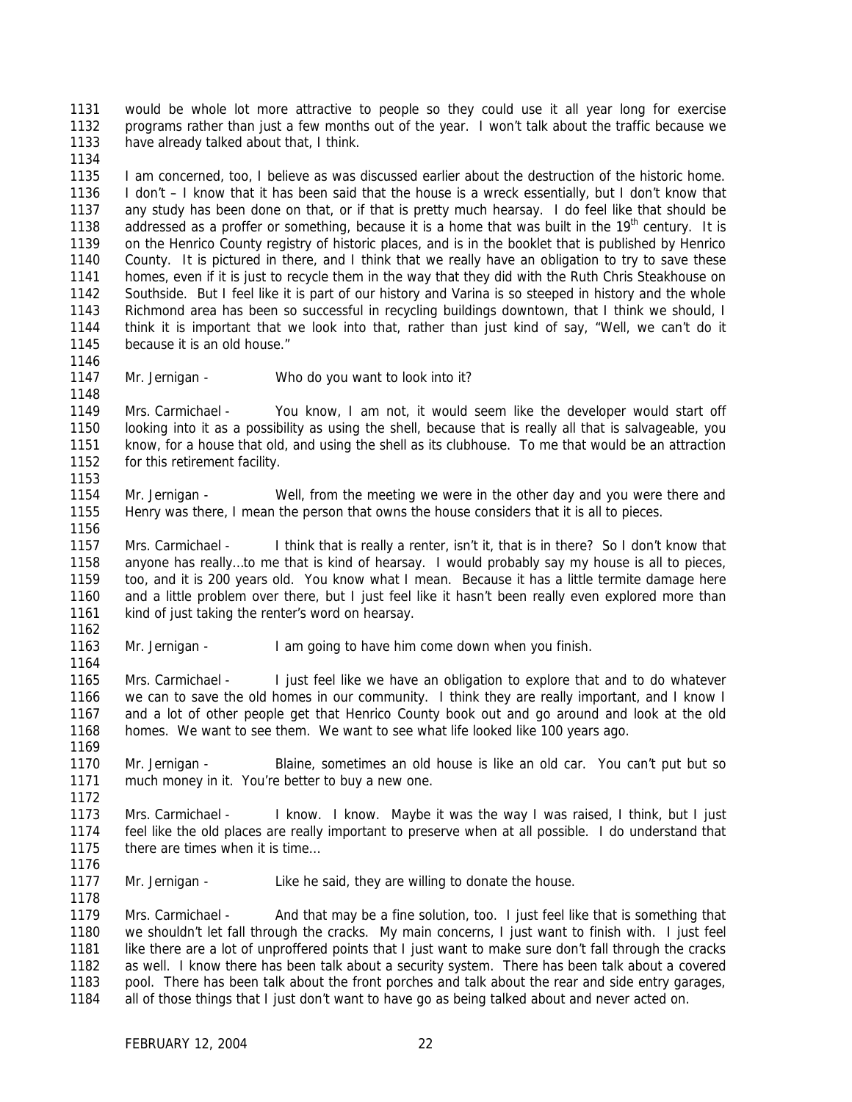would be whole lot more attractive to people so they could use it all year long for exercise programs rather than just a few months out of the year. I won't talk about the traffic because we have already talked about that, I think.

 I am concerned, too, I believe as was discussed earlier about the destruction of the historic home. I don't – I know that it has been said that the house is a wreck essentially, but I don't know that any study has been done on that, or if that is pretty much hearsay. I do feel like that should be 1138 addressed as a proffer or something, because it is a home that was built in the  $19<sup>th</sup>$  century. It is on the Henrico County registry of historic places, and is in the booklet that is published by Henrico County. It is pictured in there, and I think that we really have an obligation to try to save these homes, even if it is just to recycle them in the way that they did with the Ruth Chris Steakhouse on Southside. But I feel like it is part of our history and Varina is so steeped in history and the whole Richmond area has been so successful in recycling buildings downtown, that I think we should, I think it is important that we look into that, rather than just kind of say, "Well, we can't do it because it is an old house."

Mr. Jernigan - Who do you want to look into it?

 Mrs. Carmichael - You know, I am not, it would seem like the developer would start off looking into it as a possibility as using the shell, because that is really all that is salvageable, you know, for a house that old, and using the shell as its clubhouse. To me that would be an attraction 1152 for this retirement facility.

 Mr. Jernigan - Well, from the meeting we were in the other day and you were there and Henry was there, I mean the person that owns the house considers that it is all to pieces.

 Mrs. Carmichael - I think that is really a renter, isn't it, that is in there? So I don't know that anyone has really…to me that is kind of hearsay. I would probably say my house is all to pieces, too, and it is 200 years old. You know what I mean. Because it has a little termite damage here and a little problem over there, but I just feel like it hasn't been really even explored more than kind of just taking the renter's word on hearsay.

Mr. Jernigan - I am going to have him come down when you finish.

 Mrs. Carmichael - I just feel like we have an obligation to explore that and to do whatever we can to save the old homes in our community. I think they are really important, and I know I and a lot of other people get that Henrico County book out and go around and look at the old homes. We want to see them. We want to see what life looked like 100 years ago.

 Mr. Jernigan - Blaine, sometimes an old house is like an old car. You can't put but so much money in it. You're better to buy a new one.

 Mrs. Carmichael - I know. I know. Maybe it was the way I was raised, I think, but I just feel like the old places are really important to preserve when at all possible. I do understand that 1175 there are times when it is time...

Mr. Jernigan - Like he said, they are willing to donate the house.

 Mrs. Carmichael - And that may be a fine solution, too. I just feel like that is something that we shouldn't let fall through the cracks. My main concerns, I just want to finish with. I just feel 1181 like there are a lot of unproffered points that I just want to make sure don't fall through the cracks as well. I know there has been talk about a security system. There has been talk about a covered pool. There has been talk about the front porches and talk about the rear and side entry garages, all of those things that I just don't want to have go as being talked about and never acted on.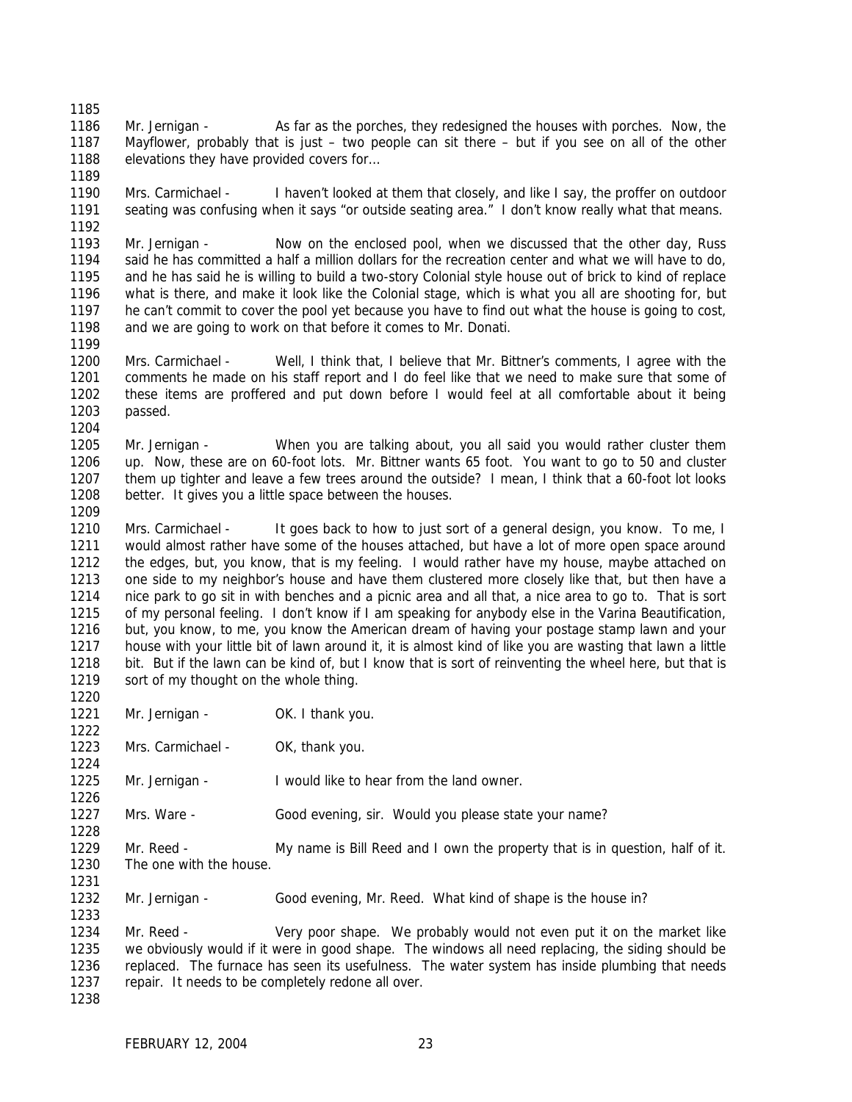Mr. Jernigan - As far as the porches, they redesigned the houses with porches. Now, the Mayflower, probably that is just – two people can sit there – but if you see on all of the other 1188 elevations they have provided covers for...

 Mrs. Carmichael - I haven't looked at them that closely, and like I say, the proffer on outdoor seating was confusing when it says "or outside seating area." I don't know really what that means.

 Mr. Jernigan - Now on the enclosed pool, when we discussed that the other day, Russ said he has committed a half a million dollars for the recreation center and what we will have to do, and he has said he is willing to build a two-story Colonial style house out of brick to kind of replace what is there, and make it look like the Colonial stage, which is what you all are shooting for, but he can't commit to cover the pool yet because you have to find out what the house is going to cost, 1198 and we are going to work on that before it comes to Mr. Donati.

 Mrs. Carmichael - Well, I think that, I believe that Mr. Bittner's comments, I agree with the comments he made on his staff report and I do feel like that we need to make sure that some of these items are proffered and put down before I would feel at all comfortable about it being passed. 

 Mr. Jernigan - When you are talking about, you all said you would rather cluster them up. Now, these are on 60-foot lots. Mr. Bittner wants 65 foot. You want to go to 50 and cluster them up tighter and leave a few trees around the outside? I mean, I think that a 60-foot lot looks better. It gives you a little space between the houses.

 Mrs. Carmichael - It goes back to how to just sort of a general design, you know. To me, I would almost rather have some of the houses attached, but have a lot of more open space around the edges, but, you know, that is my feeling. I would rather have my house, maybe attached on one side to my neighbor's house and have them clustered more closely like that, but then have a nice park to go sit in with benches and a picnic area and all that, a nice area to go to. That is sort of my personal feeling. I don't know if I am speaking for anybody else in the Varina Beautification, but, you know, to me, you know the American dream of having your postage stamp lawn and your house with your little bit of lawn around it, it is almost kind of like you are wasting that lawn a little bit. But if the lawn can be kind of, but I know that is sort of reinventing the wheel here, but that is 1219 sort of my thought on the whole thing.

1221 Mr. Jernigan - OK. I thank you.

1223 Mrs. Carmichael - OK, thank you.

 1225 Mr. Jernigan - I would like to hear from the land owner.

Mrs. Ware - Good evening, sir. Would you please state your name?

 Mr. Reed - My name is Bill Reed and I own the property that is in question, half of it. The one with the house.

Mr. Jernigan - Good evening, Mr. Reed. What kind of shape is the house in?

 Mr. Reed - Very poor shape. We probably would not even put it on the market like we obviously would if it were in good shape. The windows all need replacing, the siding should be replaced. The furnace has seen its usefulness. The water system has inside plumbing that needs repair. It needs to be completely redone all over.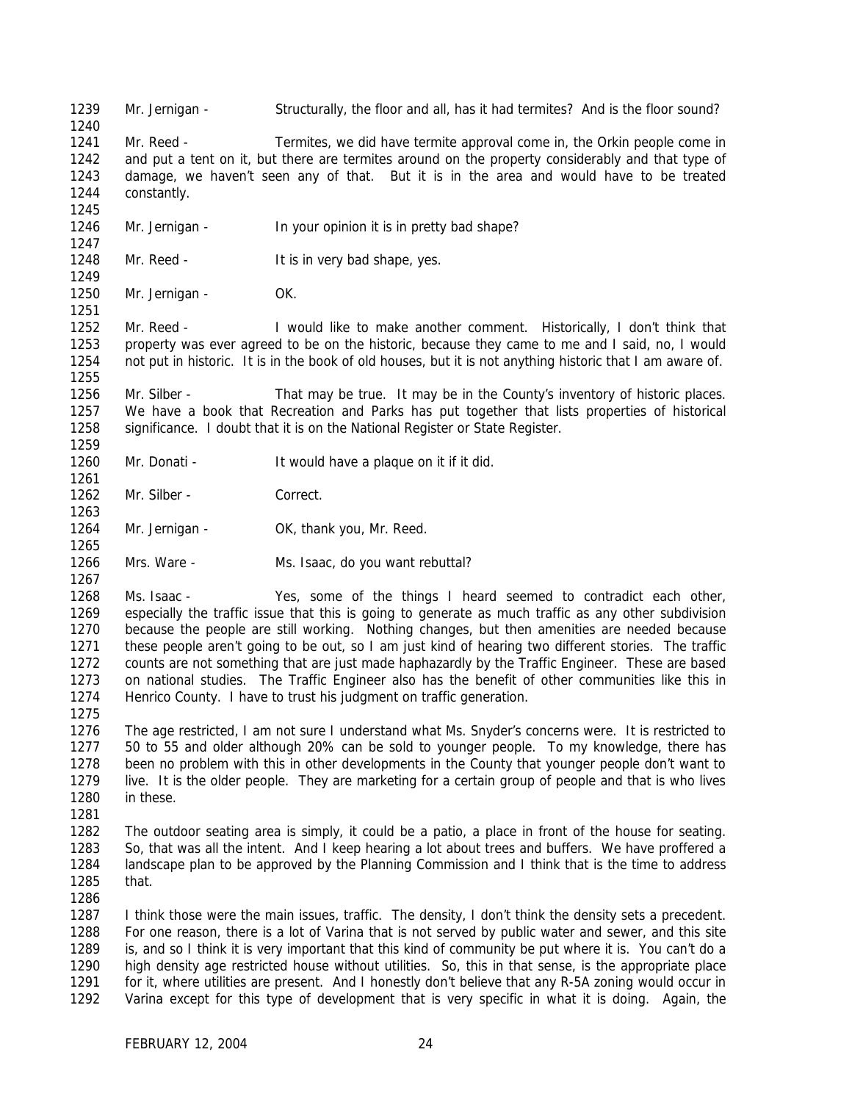Mr. Jernigan - Structurally, the floor and all, has it had termites? And is the floor sound?

 Mr. Reed - Termites, we did have termite approval come in, the Orkin people come in and put a tent on it, but there are termites around on the property considerably and that type of damage, we haven't seen any of that. But it is in the area and would have to be treated constantly.

- 1246 Mr. Jernigan In your opinion it is in pretty bad shape?
- 1248 Mr. Reed It is in very bad shape, yes.

1250 Mr. Jernigan - OK.

 Mr. Reed - I would like to make another comment. Historically, I don't think that property was ever agreed to be on the historic, because they came to me and I said, no, I would not put in historic. It is in the book of old houses, but it is not anything historic that I am aware of.

 Mr. Silber - That may be true. It may be in the County's inventory of historic places. We have a book that Recreation and Parks has put together that lists properties of historical 1258 significance. I doubt that it is on the National Register or State Register.

- Mr. Donati It would have a plaque on it if it did.
- 1262 Mr. Silber Correct.
- 1264 Mr. Jernigan OK, thank you, Mr. Reed.
- Mrs. Ware Ms. Isaac, do you want rebuttal?
- Ms. Isaac Yes, some of the things I heard seemed to contradict each other, especially the traffic issue that this is going to generate as much traffic as any other subdivision because the people are still working. Nothing changes, but then amenities are needed because these people aren't going to be out, so I am just kind of hearing two different stories. The traffic counts are not something that are just made haphazardly by the Traffic Engineer. These are based on national studies. The Traffic Engineer also has the benefit of other communities like this in Henrico County. I have to trust his judgment on traffic generation.
- 

 The age restricted, I am not sure I understand what Ms. Snyder's concerns were. It is restricted to 50 to 55 and older although 20% can be sold to younger people. To my knowledge, there has been no problem with this in other developments in the County that younger people don't want to live. It is the older people. They are marketing for a certain group of people and that is who lives in these.

 The outdoor seating area is simply, it could be a patio, a place in front of the house for seating. So, that was all the intent. And I keep hearing a lot about trees and buffers. We have proffered a landscape plan to be approved by the Planning Commission and I think that is the time to address that.

 I think those were the main issues, traffic. The density, I don't think the density sets a precedent. For one reason, there is a lot of Varina that is not served by public water and sewer, and this site is, and so I think it is very important that this kind of community be put where it is. You can't do a high density age restricted house without utilities. So, this in that sense, is the appropriate place for it, where utilities are present. And I honestly don't believe that any R-5A zoning would occur in Varina except for this type of development that is very specific in what it is doing. Again, the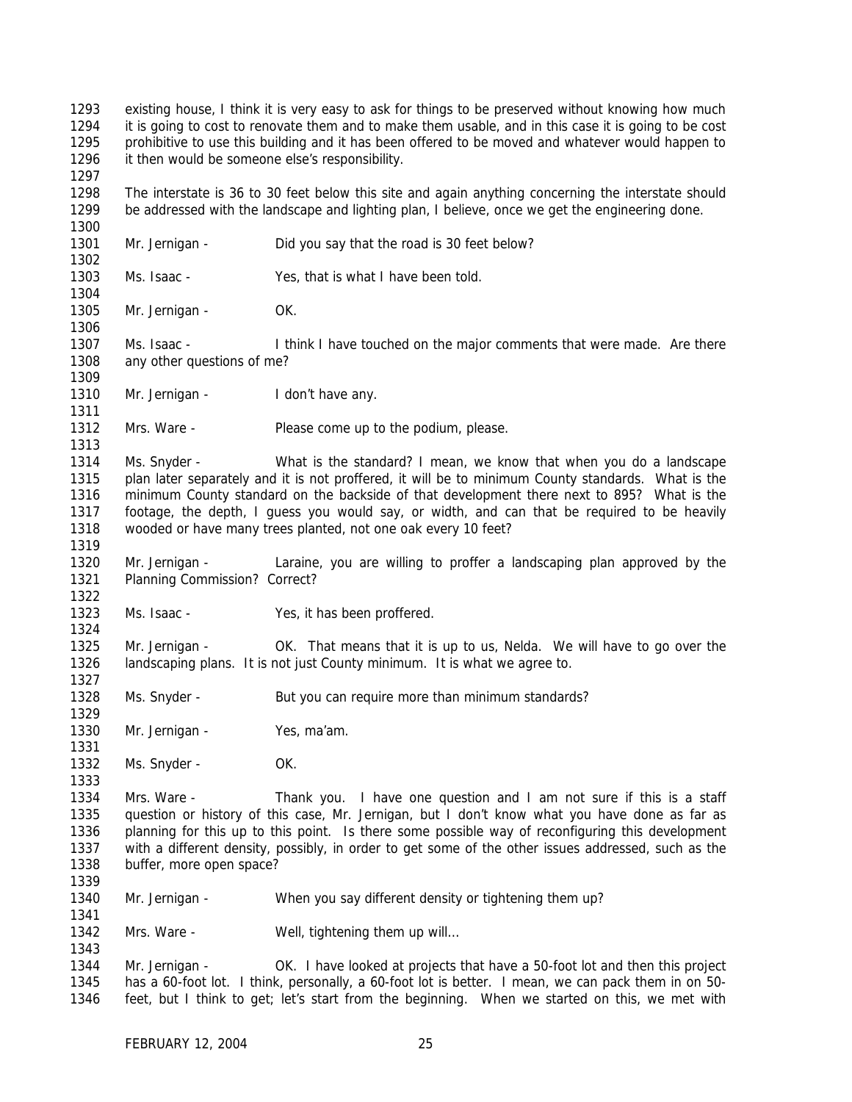existing house, I think it is very easy to ask for things to be preserved without knowing how much it is going to cost to renovate them and to make them usable, and in this case it is going to be cost prohibitive to use this building and it has been offered to be moved and whatever would happen to it then would be someone else's responsibility. The interstate is 36 to 30 feet below this site and again anything concerning the interstate should be addressed with the landscape and lighting plan, I believe, once we get the engineering done. 1301 Mr. Jernigan - Did you say that the road is 30 feet below? Ms. Isaac - Yes, that is what I have been told. 1305 Mr. Jernigan - OK. Ms. Isaac - I think I have touched on the major comments that were made. Are there any other questions of me? 1310 Mr. Jernigan - I don't have any. 1312 Mrs. Ware - Please come up to the podium, please. Ms. Snyder - What is the standard? I mean, we know that when you do a landscape plan later separately and it is not proffered, it will be to minimum County standards. What is the minimum County standard on the backside of that development there next to 895? What is the footage, the depth, I guess you would say, or width, and can that be required to be heavily wooded or have many trees planted, not one oak every 10 feet? Mr. Jernigan - Laraine, you are willing to proffer a landscaping plan approved by the Planning Commission? Correct? Ms. Isaac - Yes, it has been proffered. Mr. Jernigan - OK. That means that it is up to us, Nelda. We will have to go over the landscaping plans. It is not just County minimum. It is what we agree to. 1328 Ms. Snyder - But you can require more than minimum standards? 1330 Mr. Jernigan - Yes, ma'am. 1332 Ms. Snyder - OK. Mrs. Ware - Thank you. I have one question and I am not sure if this is a staff question or history of this case, Mr. Jernigan, but I don't know what you have done as far as planning for this up to this point. Is there some possible way of reconfiguring this development with a different density, possibly, in order to get some of the other issues addressed, such as the buffer, more open space? Mr. Jernigan - When you say different density or tightening them up? 1342 Mrs. Ware - Well, tightening them up will... Mr. Jernigan - OK. I have looked at projects that have a 50-foot lot and then this project has a 60-foot lot. I think, personally, a 60-foot lot is better. I mean, we can pack them in on 50- feet, but I think to get; let's start from the beginning. When we started on this, we met with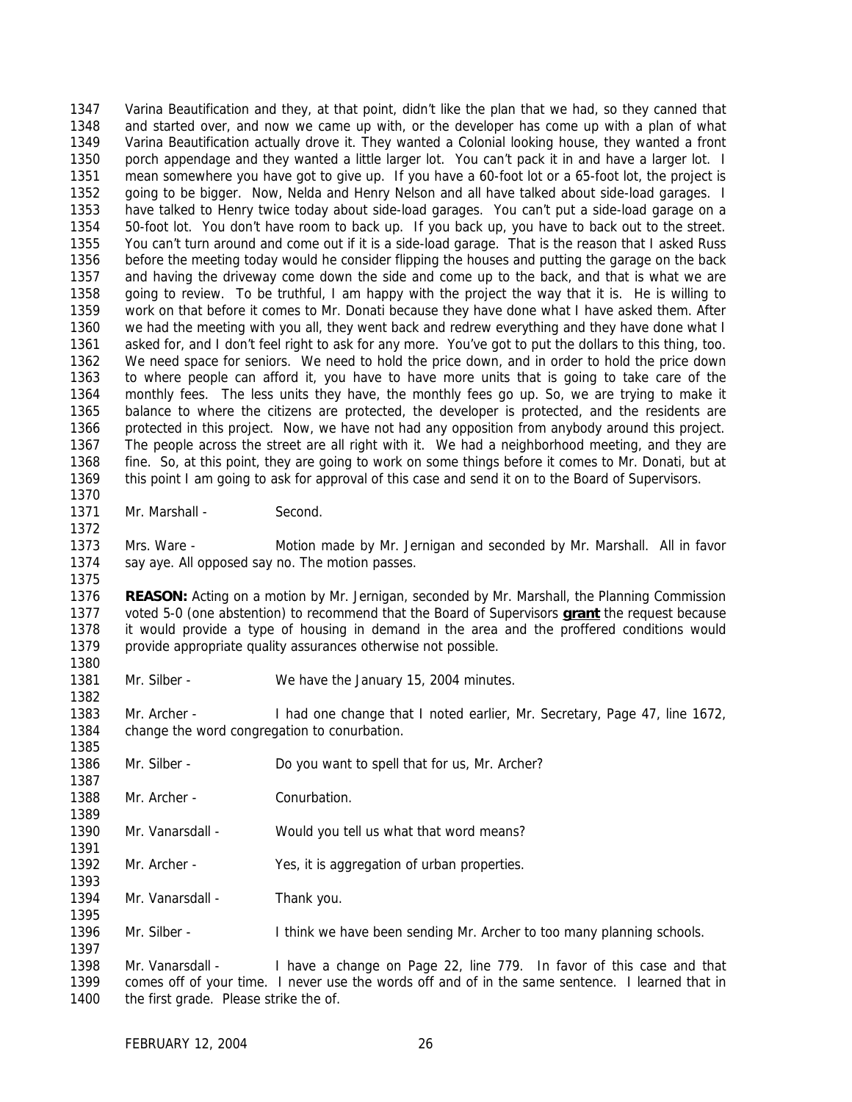Varina Beautification and they, at that point, didn't like the plan that we had, so they canned that and started over, and now we came up with, or the developer has come up with a plan of what Varina Beautification actually drove it. They wanted a Colonial looking house, they wanted a front porch appendage and they wanted a little larger lot. You can't pack it in and have a larger lot. I mean somewhere you have got to give up. If you have a 60-foot lot or a 65-foot lot, the project is going to be bigger. Now, Nelda and Henry Nelson and all have talked about side-load garages. I have talked to Henry twice today about side-load garages. You can't put a side-load garage on a 50-foot lot. You don't have room to back up. If you back up, you have to back out to the street. You can't turn around and come out if it is a side-load garage. That is the reason that I asked Russ before the meeting today would he consider flipping the houses and putting the garage on the back and having the driveway come down the side and come up to the back, and that is what we are going to review. To be truthful, I am happy with the project the way that it is. He is willing to work on that before it comes to Mr. Donati because they have done what I have asked them. After we had the meeting with you all, they went back and redrew everything and they have done what I asked for, and I don't feel right to ask for any more. You've got to put the dollars to this thing, too. We need space for seniors. We need to hold the price down, and in order to hold the price down to where people can afford it, you have to have more units that is going to take care of the monthly fees. The less units they have, the monthly fees go up. So, we are trying to make it balance to where the citizens are protected, the developer is protected, and the residents are protected in this project. Now, we have not had any opposition from anybody around this project. The people across the street are all right with it. We had a neighborhood meeting, and they are fine. So, at this point, they are going to work on some things before it comes to Mr. Donati, but at this point I am going to ask for approval of this case and send it on to the Board of Supervisors. 

1371 Mr. Marshall - Second.

 Mrs. Ware - Motion made by Mr. Jernigan and seconded by Mr. Marshall. All in favor say aye. All opposed say no. The motion passes.

 **REASON:** Acting on a motion by Mr. Jernigan, seconded by Mr. Marshall, the Planning Commission voted 5-0 (one abstention) to recommend that the Board of Supervisors **grant** the request because it would provide a type of housing in demand in the area and the proffered conditions would provide appropriate quality assurances otherwise not possible. 

Mr. Silber - We have the January 15, 2004 minutes.

 Mr. Archer - I had one change that I noted earlier, Mr. Secretary, Page 47, line 1672, change the word congregation to conurbation.

Mr. Silber - Do you want to spell that for us, Mr. Archer?

1388 Mr. Archer - Conurbation.

- Mr. Vanarsdall Would you tell us what that word means?
- 1392 Mr. Archer Yes, it is aggregation of urban properties.

1394 Mr. Vanarsdall - Thank you.

Mr. Silber - I think we have been sending Mr. Archer to too many planning schools.

 Mr. Vanarsdall - I have a change on Page 22, line 779. In favor of this case and that comes off of your time. I never use the words off and of in the same sentence. I learned that in 1400 the first grade. Please strike the of.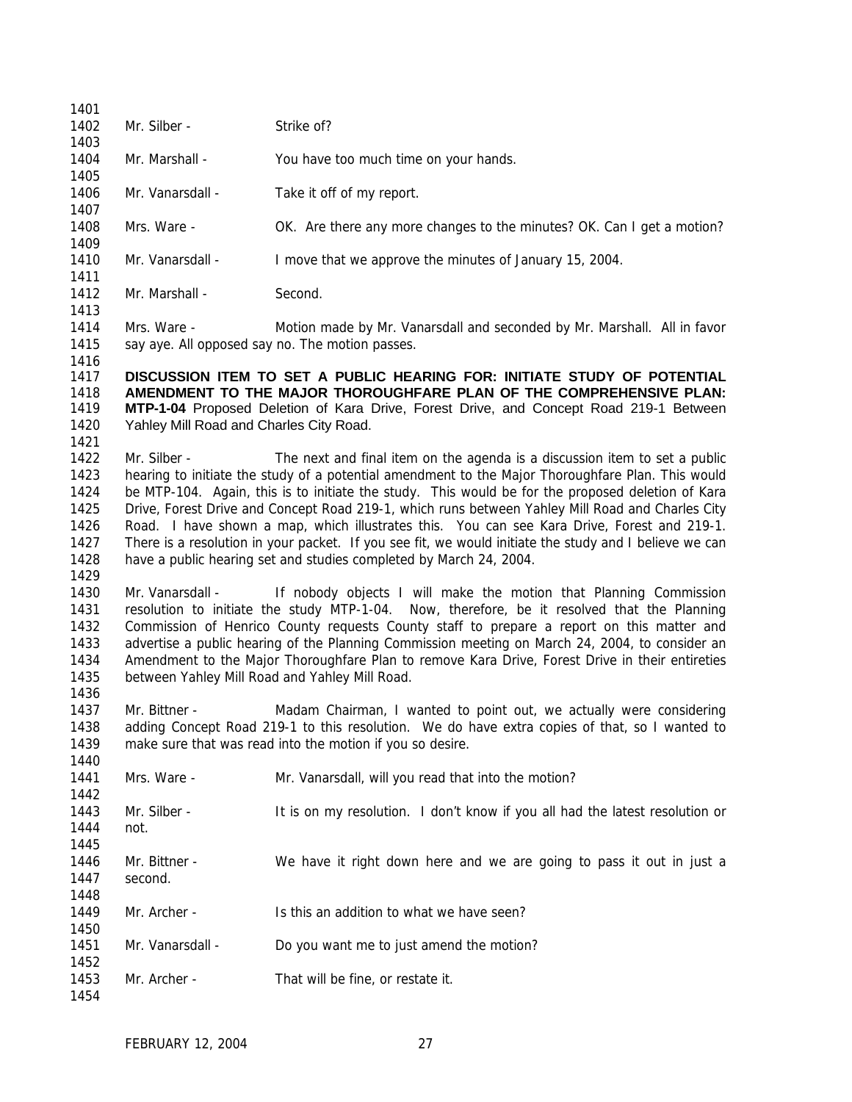| 1401         |                                                                                                                                                                                                        |                                                                                                        |  |  |  |
|--------------|--------------------------------------------------------------------------------------------------------------------------------------------------------------------------------------------------------|--------------------------------------------------------------------------------------------------------|--|--|--|
| 1402         | Mr. Silber -                                                                                                                                                                                           | Strike of?                                                                                             |  |  |  |
| 1403         |                                                                                                                                                                                                        |                                                                                                        |  |  |  |
| 1404         | Mr. Marshall -                                                                                                                                                                                         | You have too much time on your hands.                                                                  |  |  |  |
| 1405         |                                                                                                                                                                                                        |                                                                                                        |  |  |  |
| 1406         | Mr. Vanarsdall -                                                                                                                                                                                       | Take it off of my report.                                                                              |  |  |  |
| 1407         |                                                                                                                                                                                                        |                                                                                                        |  |  |  |
| 1408         | Mrs. Ware -                                                                                                                                                                                            | OK. Are there any more changes to the minutes? OK. Can I get a motion?                                 |  |  |  |
| 1409         |                                                                                                                                                                                                        |                                                                                                        |  |  |  |
| 1410         | Mr. Vanarsdall -                                                                                                                                                                                       | I move that we approve the minutes of January 15, 2004.                                                |  |  |  |
| 1411         |                                                                                                                                                                                                        |                                                                                                        |  |  |  |
| 1412         | Mr. Marshall -                                                                                                                                                                                         | Second.                                                                                                |  |  |  |
| 1413         |                                                                                                                                                                                                        |                                                                                                        |  |  |  |
| 1414         | Mrs. Ware -                                                                                                                                                                                            | Motion made by Mr. Vanarsdall and seconded by Mr. Marshall. All in favor                               |  |  |  |
| 1415         |                                                                                                                                                                                                        | say aye. All opposed say no. The motion passes.                                                        |  |  |  |
| 1416         |                                                                                                                                                                                                        |                                                                                                        |  |  |  |
| 1417         |                                                                                                                                                                                                        | DISCUSSION ITEM TO SET A PUBLIC HEARING FOR: INITIATE STUDY OF POTENTIAL                               |  |  |  |
| 1418         |                                                                                                                                                                                                        | AMENDMENT TO THE MAJOR THOROUGHFARE PLAN OF THE COMPREHENSIVE PLAN:                                    |  |  |  |
| 1419<br>1420 | Yahley Mill Road and Charles City Road.                                                                                                                                                                | MTP-1-04 Proposed Deletion of Kara Drive, Forest Drive, and Concept Road 219-1 Between                 |  |  |  |
| 1421         |                                                                                                                                                                                                        |                                                                                                        |  |  |  |
| 1422         | Mr. Silber -                                                                                                                                                                                           | The next and final item on the agenda is a discussion item to set a public                             |  |  |  |
| 1423         |                                                                                                                                                                                                        |                                                                                                        |  |  |  |
| 1424         | hearing to initiate the study of a potential amendment to the Major Thoroughfare Plan. This would<br>be MTP-104. Again, this is to initiate the study. This would be for the proposed deletion of Kara |                                                                                                        |  |  |  |
| 1425         |                                                                                                                                                                                                        | Drive, Forest Drive and Concept Road 219-1, which runs between Yahley Mill Road and Charles City       |  |  |  |
| 1426         |                                                                                                                                                                                                        | Road. I have shown a map, which illustrates this. You can see Kara Drive, Forest and 219-1.            |  |  |  |
| 1427         |                                                                                                                                                                                                        | There is a resolution in your packet. If you see fit, we would initiate the study and I believe we can |  |  |  |
| 1428         | have a public hearing set and studies completed by March 24, 2004.                                                                                                                                     |                                                                                                        |  |  |  |
| 1429         |                                                                                                                                                                                                        |                                                                                                        |  |  |  |
| 1430         | Mr. Vanarsdall -                                                                                                                                                                                       | If nobody objects I will make the motion that Planning Commission                                      |  |  |  |
| 1431         | resolution to initiate the study MTP-1-04. Now, therefore, be it resolved that the Planning                                                                                                            |                                                                                                        |  |  |  |
| 1432         |                                                                                                                                                                                                        | Commission of Henrico County requests County staff to prepare a report on this matter and              |  |  |  |
| 1433         |                                                                                                                                                                                                        | advertise a public hearing of the Planning Commission meeting on March 24, 2004, to consider an        |  |  |  |
| 1434         |                                                                                                                                                                                                        | Amendment to the Major Thoroughfare Plan to remove Kara Drive, Forest Drive in their entireties        |  |  |  |
| 1435         |                                                                                                                                                                                                        | between Yahley Mill Road and Yahley Mill Road.                                                         |  |  |  |
| 1436         |                                                                                                                                                                                                        |                                                                                                        |  |  |  |
| 1437         | Mr. Bittner -                                                                                                                                                                                          | Madam Chairman, I wanted to point out, we actually were considering                                    |  |  |  |
| 1438         |                                                                                                                                                                                                        | adding Concept Road 219-1 to this resolution. We do have extra copies of that, so I wanted to          |  |  |  |
| 1439         | make sure that was read into the motion if you so desire.                                                                                                                                              |                                                                                                        |  |  |  |
| 1440         |                                                                                                                                                                                                        |                                                                                                        |  |  |  |
| 1441         | Mrs. Ware -                                                                                                                                                                                            | Mr. Vanarsdall, will you read that into the motion?                                                    |  |  |  |
| 1442         |                                                                                                                                                                                                        |                                                                                                        |  |  |  |
| 1443         | Mr. Silber -                                                                                                                                                                                           | It is on my resolution. I don't know if you all had the latest resolution or                           |  |  |  |
| 1444         | not.                                                                                                                                                                                                   |                                                                                                        |  |  |  |
| 1445         |                                                                                                                                                                                                        |                                                                                                        |  |  |  |
| 1446         | Mr. Bittner -                                                                                                                                                                                          | We have it right down here and we are going to pass it out in just a                                   |  |  |  |
| 1447         | second.                                                                                                                                                                                                |                                                                                                        |  |  |  |
| 1448         |                                                                                                                                                                                                        |                                                                                                        |  |  |  |
| 1449         | Mr. Archer -                                                                                                                                                                                           | Is this an addition to what we have seen?                                                              |  |  |  |
| 1450         |                                                                                                                                                                                                        |                                                                                                        |  |  |  |
| 1451         | Mr. Vanarsdall -                                                                                                                                                                                       | Do you want me to just amend the motion?                                                               |  |  |  |
| 1452         |                                                                                                                                                                                                        |                                                                                                        |  |  |  |
| 1453         | Mr. Archer -                                                                                                                                                                                           | That will be fine, or restate it.                                                                      |  |  |  |
| 1454         |                                                                                                                                                                                                        |                                                                                                        |  |  |  |